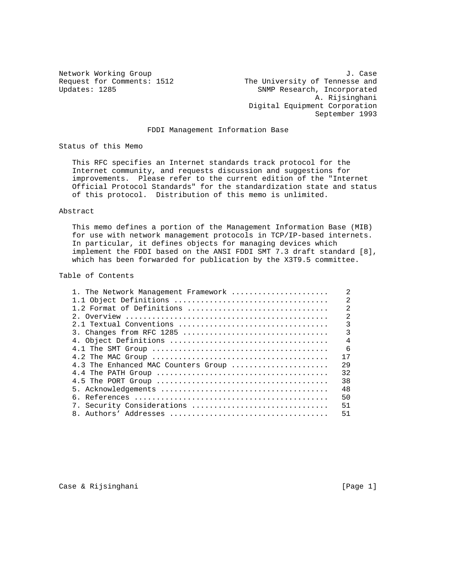Network Working Group 1. Case<br>Request for Comments: 1512 The University of Tennesse and The University of Tennesse and Updates: 1285 SNMP Research, Incorporated A. Rijsinghani Digital Equipment Corporation September 1993

# FDDI Management Information Base

Status of this Memo

 This RFC specifies an Internet standards track protocol for the Internet community, and requests discussion and suggestions for improvements. Please refer to the current edition of the "Internet Official Protocol Standards" for the standardization state and status of this protocol. Distribution of this memo is unlimited.

## Abstract

 This memo defines a portion of the Management Information Base (MIB) for use with network management protocols in TCP/IP-based internets. In particular, it defines objects for managing devices which implement the FDDI based on the ANSI FDDI SMT 7.3 draft standard [8], which has been forwarded for publication by the X3T9.5 committee.

### Table of Contents

| 1. The Network Management Framework                                                                     | $\overline{2}$ |
|---------------------------------------------------------------------------------------------------------|----------------|
|                                                                                                         | $\mathfrak{D}$ |
| 1.2 Format of Definitions                                                                               | $\mathfrak{D}$ |
|                                                                                                         | $\overline{2}$ |
| 2.1 Textual Conventions                                                                                 | 3              |
| 3. Changes from RFC 1285                                                                                | $\mathcal{R}$  |
|                                                                                                         | $\overline{4}$ |
|                                                                                                         | 6              |
| 4.2 The MAC Group $\ldots \ldots \ldots \ldots \ldots \ldots \ldots \ldots \ldots \ldots \ldots \ldots$ | 17             |
| 4.3 The Enhanced MAC Counters Group                                                                     | 29             |
|                                                                                                         | 32             |
|                                                                                                         | 38             |
|                                                                                                         | 48             |
|                                                                                                         | 50             |
| 7. Security Considerations                                                                              | 51             |
|                                                                                                         | 51             |

Case & Rijsinghani **berkena di page 1** and 2011 (Page 1 and 2012)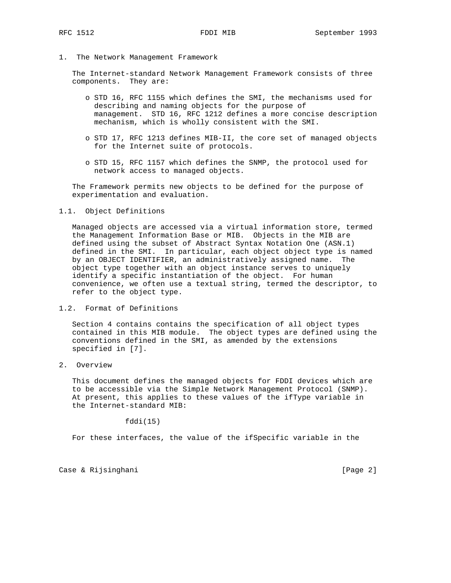1. The Network Management Framework

 The Internet-standard Network Management Framework consists of three components. They are:

- o STD 16, RFC 1155 which defines the SMI, the mechanisms used for describing and naming objects for the purpose of management. STD 16, RFC 1212 defines a more concise description mechanism, which is wholly consistent with the SMI.
- o STD 17, RFC 1213 defines MIB-II, the core set of managed objects for the Internet suite of protocols.
- o STD 15, RFC 1157 which defines the SNMP, the protocol used for network access to managed objects.

 The Framework permits new objects to be defined for the purpose of experimentation and evaluation.

### 1.1. Object Definitions

 Managed objects are accessed via a virtual information store, termed the Management Information Base or MIB. Objects in the MIB are defined using the subset of Abstract Syntax Notation One (ASN.1) defined in the SMI. In particular, each object object type is named by an OBJECT IDENTIFIER, an administratively assigned name. The object type together with an object instance serves to uniquely identify a specific instantiation of the object. For human convenience, we often use a textual string, termed the descriptor, to refer to the object type.

1.2. Format of Definitions

 Section 4 contains contains the specification of all object types contained in this MIB module. The object types are defined using the conventions defined in the SMI, as amended by the extensions specified in [7].

2. Overview

 This document defines the managed objects for FDDI devices which are to be accessible via the Simple Network Management Protocol (SNMP). At present, this applies to these values of the ifType variable in the Internet-standard MIB:

fddi(15)

For these interfaces, the value of the ifSpecific variable in the

Case & Rijsinghani **berkena di page 2** and 2 and 2 and 2 and 2 and 2 and 2 and 2 and 2 and 2 and 2 and 2 and 2 and 2 and 2 and 2 and 2 and 2 and 2 and 2 and 2 and 2 and 2 and 2 and 2 and 2 and 2 and 2 and 2 and 2 and 2 and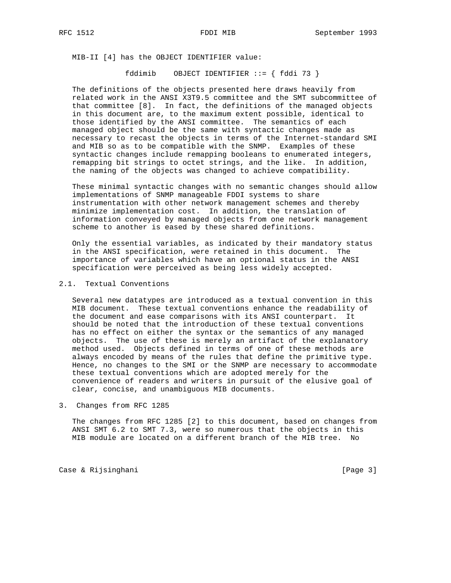MIB-II [4] has the OBJECT IDENTIFIER value:

fddimib OBJECT IDENTIFIER ::= { fddi 73 }

 The definitions of the objects presented here draws heavily from related work in the ANSI X3T9.5 committee and the SMT subcommittee of that committee [8]. In fact, the definitions of the managed objects in this document are, to the maximum extent possible, identical to those identified by the ANSI committee. The semantics of each managed object should be the same with syntactic changes made as necessary to recast the objects in terms of the Internet-standard SMI and MIB so as to be compatible with the SNMP. Examples of these syntactic changes include remapping booleans to enumerated integers, remapping bit strings to octet strings, and the like. In addition, the naming of the objects was changed to achieve compatibility.

 These minimal syntactic changes with no semantic changes should allow implementations of SNMP manageable FDDI systems to share instrumentation with other network management schemes and thereby minimize implementation cost. In addition, the translation of information conveyed by managed objects from one network management scheme to another is eased by these shared definitions.

 Only the essential variables, as indicated by their mandatory status in the ANSI specification, were retained in this document. The importance of variables which have an optional status in the ANSI specification were perceived as being less widely accepted.

# 2.1. Textual Conventions

 Several new datatypes are introduced as a textual convention in this MIB document. These textual conventions enhance the readability of the document and ease comparisons with its ANSI counterpart. It should be noted that the introduction of these textual conventions has no effect on either the syntax or the semantics of any managed objects. The use of these is merely an artifact of the explanatory method used. Objects defined in terms of one of these methods are always encoded by means of the rules that define the primitive type. Hence, no changes to the SMI or the SNMP are necessary to accommodate these textual conventions which are adopted merely for the convenience of readers and writers in pursuit of the elusive goal of clear, concise, and unambiguous MIB documents.

3. Changes from RFC 1285

 The changes from RFC 1285 [2] to this document, based on changes from ANSI SMT 6.2 to SMT 7.3, were so numerous that the objects in this MIB module are located on a different branch of the MIB tree. No

Case & Rijsinghani **berkena di page 3** and 2011 (Page 3 and 2012)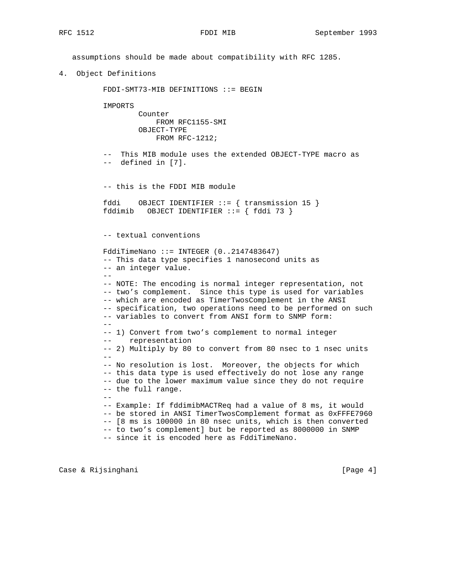assumptions should be made about compatibility with RFC 1285.

4. Object Definitions

FDDI-SMT73-MIB DEFINITIONS ::= BEGIN

IMPORTS

 Counter FROM RFC1155-SMI OBJECT-TYPE FROM RFC-1212;

 -- This MIB module uses the extended OBJECT-TYPE macro as -- defined in [7].

-- this is the FDDI MIB module

```
 fddi OBJECT IDENTIFIER ::= { transmission 15 }
 fddimib OBJECT IDENTIFIER ::= { fddi 73 }
```
-- textual conventions

```
 FddiTimeNano ::= INTEGER (0..2147483647)
          -- This data type specifies 1 nanosecond units as
          -- an integer value.
 --
          -- NOTE: The encoding is normal integer representation, not
          -- two's complement. Since this type is used for variables
          -- which are encoded as TimerTwosComplement in the ANSI
          -- specification, two operations need to be performed on such
          -- variables to convert from ANSI form to SNMP form:
          --
          -- 1) Convert from two's complement to normal integer
          -- representation
          -- 2) Multiply by 80 to convert from 80 nsec to 1 nsec units
 --
          -- No resolution is lost. Moreover, the objects for which
          -- this data type is used effectively do not lose any range
          -- due to the lower maximum value since they do not require
          -- the full range.
 --
          -- Example: If fddimibMACTReq had a value of 8 ms, it would
         -- be stored in ANSI TimerTwosComplement format as 0xFFFE7960
          -- [8 ms is 100000 in 80 nsec units, which is then converted
          -- to two's complement] but be reported as 8000000 in SNMP
          -- since it is encoded here as FddiTimeNano.
```
Case & Rijsinghani **berkena di page 4** and 20 and 20 and 20 and 20 and 20 and 20 and 20 and 20 and 20 and 20 and 20 and 20 and 20 and 20 and 20 and 20 and 20 and 20 and 20 and 20 and 20 and 20 and 20 and 20 and 20 and 20 a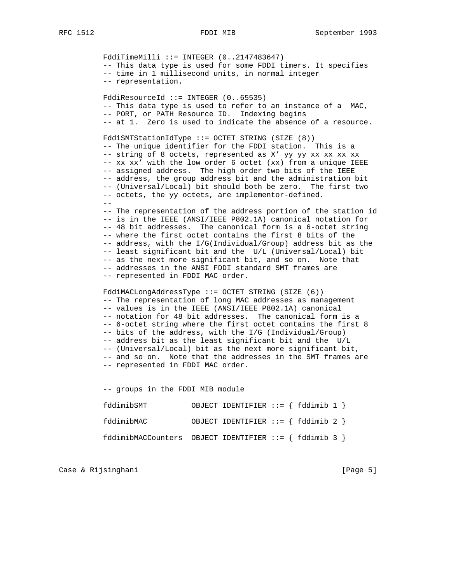$FddirimeMilli ::= INTEGR (0..2147483647)$  -- This data type is used for some FDDI timers. It specifies -- time in 1 millisecond units, in normal integer -- representation. FddiResourceId ::= INTEGER (0..65535) -- This data type is used to refer to an instance of a MAC, -- PORT, or PATH Resource ID. Indexing begins -- at 1. Zero is used to indicate the absence of a resource. FddiSMTStationIdType ::= OCTET STRING (SIZE (8)) -- The unique identifier for the FDDI station. This is a -- string of 8 octets, represented as X' yy yy xx xx xx xx -- xx xx' with the low order 6 octet (xx) from a unique IEEE -- assigned address. The high order two bits of the IEEE -- address, the group address bit and the administration bit -- (Universal/Local) bit should both be zero. The first two -- octets, the yy octets, are implementor-defined.  $-$  -- The representation of the address portion of the station id -- is in the IEEE (ANSI/IEEE P802.1A) canonical notation for -- 48 bit addresses. The canonical form is a 6-octet string -- where the first octet contains the first 8 bits of the -- address, with the I/G(Individual/Group) address bit as the -- least significant bit and the U/L (Universal/Local) bit -- as the next more significant bit, and so on. Note that -- addresses in the ANSI FDDI standard SMT frames are -- represented in FDDI MAC order. FddiMACLongAddressType ::= OCTET STRING (SIZE (6)) -- The representation of long MAC addresses as management -- values is in the IEEE (ANSI/IEEE P802.1A) canonical -- notation for 48 bit addresses. The canonical form is a -- 6-octet string where the first octet contains the first 8 -- bits of the address, with the I/G (Individual/Group)

 -- address bit as the least significant bit and the U/L -- (Universal/Local) bit as the next more significant bit,

 -- and so on. Note that the addresses in the SMT frames are -- represented in FDDI MAC order.

 -- groups in the FDDI MIB module fddimibSMT OBJECT IDENTIFIER ::= { fddimib 1 } fddimibMAC OBJECT IDENTIFIER ::= { fddimib 2 } fddimibMACCounters OBJECT IDENTIFIER ::= { fddimib 3 }

Case & Rijsinghani **berkena di page 5** and 2011 (Page 5 and 2012)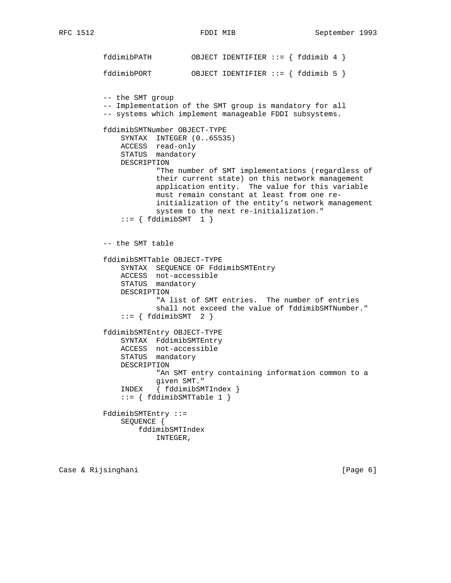fddimibPATH OBJECT IDENTIFIER ::= { fddimib 4 } fddimibPORT OBJECT IDENTIFIER ::= { fddimib 5 } -- the SMT group -- Implementation of the SMT group is mandatory for all -- systems which implement manageable FDDI subsystems. fddimibSMTNumber OBJECT-TYPE SYNTAX INTEGER (0..65535) ACCESS read-only STATUS mandatory DESCRIPTION "The number of SMT implementations (regardless of their current state) on this network management application entity. The value for this variable must remain constant at least from one re initialization of the entity's network management system to the next re-initialization."  $::= \{ fddimibSMT \quad 1 \}$  -- the SMT table fddimibSMTTable OBJECT-TYPE SYNTAX SEQUENCE OF FddimibSMTEntry ACCESS not-accessible STATUS mandatory DESCRIPTION "A list of SMT entries. The number of entries shall not exceed the value of fddimibSMTNumber."  $::= \{ fddimibSMT \quad 2 \}$  fddimibSMTEntry OBJECT-TYPE SYNTAX FddimibSMTEntry ACCESS not-accessible STATUS mandatory DESCRIPTION "An SMT entry containing information common to a given SMT." INDEX { fddimibSMTIndex } ::= { fddimibSMTTable 1 } FddimibSMTEntry ::= SEQUENCE { fddimibSMTIndex INTEGER,

Case & Rijsinghani **berkena di page 6** and 1999 (Page 6 and 1999)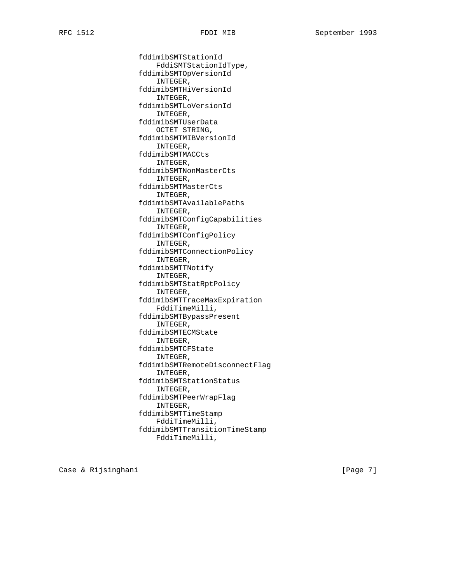fddimibSMTStationId FddiSMTStationIdType, fddimibSMTOpVersionId INTEGER, fddimibSMTHiVersionId INTEGER, fddimibSMTLoVersionId INTEGER, fddimibSMTUserData OCTET STRING, fddimibSMTMIBVersionId INTEGER, fddimibSMTMACCts INTEGER, fddimibSMTNonMasterCts INTEGER, fddimibSMTMasterCts INTEGER, fddimibSMTAvailablePaths INTEGER, fddimibSMTConfigCapabilities INTEGER, fddimibSMTConfigPolicy INTEGER, fddimibSMTConnectionPolicy INTEGER, fddimibSMTTNotify INTEGER, fddimibSMTStatRptPolicy INTEGER, fddimibSMTTraceMaxExpiration FddiTimeMilli, fddimibSMTBypassPresent INTEGER, fddimibSMTECMState INTEGER, fddimibSMTCFState INTEGER, fddimibSMTRemoteDisconnectFlag INTEGER, fddimibSMTStationStatus INTEGER, fddimibSMTPeerWrapFlag INTEGER, fddimibSMTTimeStamp FddiTimeMilli, fddimibSMTTransitionTimeStamp FddiTimeMilli,

Case & Rijsinghani **berkena di page 7** and 2011 (Page 7 and 2012)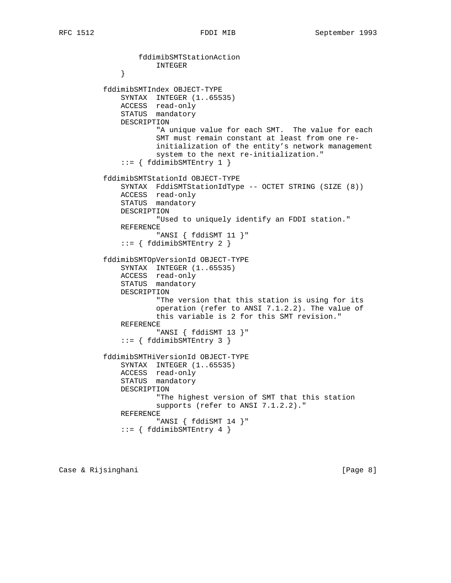fddimibSMTStationAction INTEGER } fddimibSMTIndex OBJECT-TYPE SYNTAX INTEGER (1..65535) ACCESS read-only STATUS mandatory DESCRIPTION "A unique value for each SMT. The value for each SMT must remain constant at least from one re initialization of the entity's network management system to the next re-initialization."  $::=$  { fddimibSMTEntry 1 } fddimibSMTStationId OBJECT-TYPE SYNTAX FddiSMTStationIdType -- OCTET STRING (SIZE (8)) ACCESS read-only STATUS mandatory DESCRIPTION "Used to uniquely identify an FDDI station." REFERENCE "ANSI { fddiSMT 11 }" ::= { fddimibSMTEntry 2 } fddimibSMTOpVersionId OBJECT-TYPE SYNTAX INTEGER (1..65535) ACCESS read-only STATUS mandatory DESCRIPTION "The version that this station is using for its operation (refer to ANSI 7.1.2.2). The value of this variable is 2 for this SMT revision." REFERENCE "ANSI { fddiSMT 13 }"  $::=$  { fddimibSMTEntry 3 } fddimibSMTHiVersionId OBJECT-TYPE SYNTAX INTEGER (1..65535) ACCESS read-only STATUS mandatory DESCRIPTION "The highest version of SMT that this station supports (refer to ANSI 7.1.2.2)." REFERENCE "ANSI { fddiSMT 14 }"  $::=$  { fddimibSMTEntry 4 }

Case & Rijsinghani **berkena di page 8**] Case & Rijsinghani **berkena di page 8**]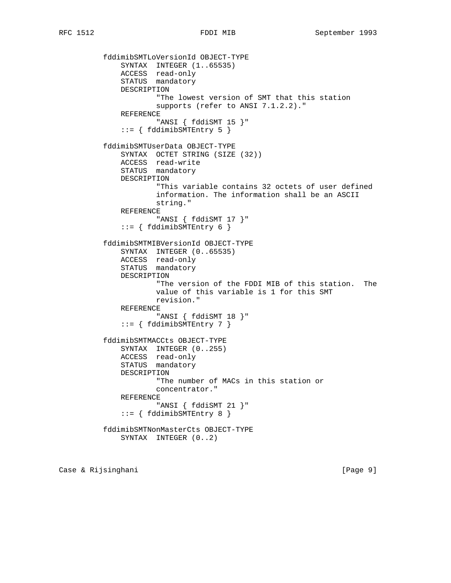```
 fddimibSMTLoVersionId OBJECT-TYPE
SYNTAX INTEGER (1..65535)
 ACCESS read-only
STATUS mandatory
             DESCRIPTION
                     "The lowest version of SMT that this station
                     supports (refer to ANSI 7.1.2.2)."
             REFERENCE
                     "ANSI { fddiSMT 15 }"
              ::= { fddimibSMTEntry 5 }
          fddimibSMTUserData OBJECT-TYPE
             SYNTAX OCTET STRING (SIZE (32))
 ACCESS read-write
STATUS mandatory
             DESCRIPTION
                     "This variable contains 32 octets of user defined
                     information. The information shall be an ASCII
                     string."
             REFERENCE
                     "ANSI { fddiSMT 17 }"
              ::= { fddimibSMTEntry 6 }
          fddimibSMTMIBVersionId OBJECT-TYPE
             SYNTAX INTEGER (0..65535)
 ACCESS read-only
STATUS mandatory
             DESCRIPTION
                     "The version of the FDDI MIB of this station. The
                     value of this variable is 1 for this SMT
                     revision."
             REFERENCE
                     "ANSI { fddiSMT 18 }"
             ::= { fddimibSMTEntry 7 }
          fddimibSMTMACCts OBJECT-TYPE
             SYNTAX INTEGER (0..255)
 ACCESS read-only
STATUS mandatory
             DESCRIPTION
                     "The number of MACs in this station or
                     concentrator."
             REFERENCE
                    "ANSI { fddiSMT 21 }"
             ::= { fddimibSMTEntry 8 }
          fddimibSMTNonMasterCts OBJECT-TYPE
             SYNTAX INTEGER (0..2)
```
Case & Rijsinghani **berkena di page 9**] (Page 9]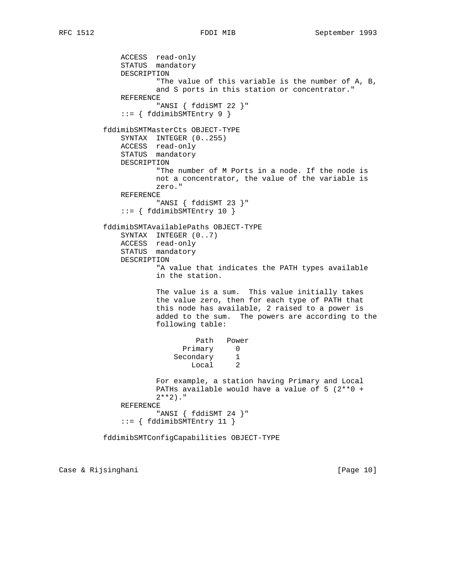```
 ACCESS read-only
              STATUS mandatory
              DESCRIPTION
                      "The value of this variable is the number of A, B,
                     and S ports in this station or concentrator."
              REFERENCE
                      "ANSI { fddiSMT 22 }"
              ::= { fddimibSMTEntry 9 }
          fddimibSMTMasterCts OBJECT-TYPE
              SYNTAX INTEGER (0..255)
              ACCESS read-only
              STATUS mandatory
              DESCRIPTION
                     "The number of M Ports in a node. If the node is
                     not a concentrator, the value of the variable is
                     zero."
              REFERENCE
                     "ANSI { fddiSMT 23 }"
              ::= { fddimibSMTEntry 10 }
          fddimibSMTAvailablePaths OBJECT-TYPE
              SYNTAX INTEGER (0..7)
              ACCESS read-only
              STATUS mandatory
              DESCRIPTION
                     "A value that indicates the PATH types available
                     in the station.
                     The value is a sum. This value initially takes
                     the value zero, then for each type of PATH that
                     this node has available, 2 raised to a power is
                     added to the sum. The powers are according to the
                     following table:
                             Path Power
Primary 0
 Secondary 1
 Local 2
                     For example, a station having Primary and Local
                     PATHs available would have a value of 5 (2**0 +
                    2***2)."
              REFERENCE
                     "ANSI { fddiSMT 24 }"
              ::= { fddimibSMTEntry 11 }
```
fddimibSMTConfigCapabilities OBJECT-TYPE

Case & Rijsinghani **berkena di kabupaten Separa Page 10** | Page 10 | Page 10 | Page 10 | Page 10 | Page 10 | Page 10 | Page 10 | Page 10 | Page 10 | Page 10 | Page 10 | Page 10 | Page 10 | Page 10 | Page 10 | Page 10 | Pag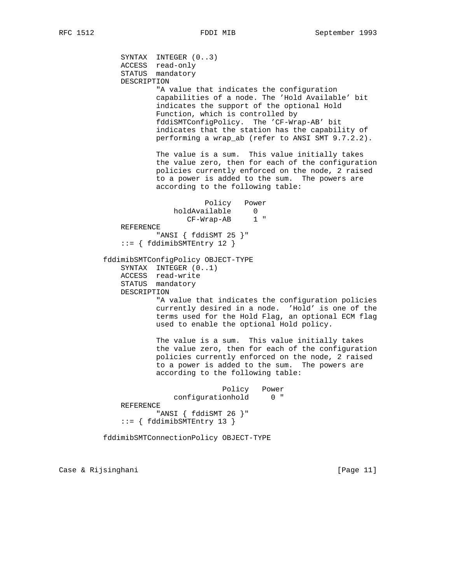SYNTAX INTEGER (0..3) ACCESS read-only STATUS mandatory DESCRIPTION "A value that indicates the configuration capabilities of a node. The 'Hold Available' bit indicates the support of the optional Hold Function, which is controlled by fddiSMTConfigPolicy. The 'CF-Wrap-AB' bit indicates that the station has the capability of performing a wrap\_ab (refer to ANSI SMT 9.7.2.2). The value is a sum. This value initially takes the value zero, then for each of the configuration policies currently enforced on the node, 2 raised to a power is added to the sum. The powers are according to the following table: Policy Power holdAvailable 0 CF-Wrap-AB 1 " REFERENCE "ANSI { fddiSMT 25 }" ::= { fddimibSMTEntry 12 } fddimibSMTConfigPolicy OBJECT-TYPE SYNTAX INTEGER (0..1) ACCESS read-write STATUS mandatory DESCRIPTION "A value that indicates the configuration policies currently desired in a node. 'Hold' is one of the terms used for the Hold Flag, an optional ECM flag used to enable the optional Hold policy. The value is a sum. This value initially takes the value zero, then for each of the configuration policies currently enforced on the node, 2 raised to a power is added to the sum. The powers are according to the following table: Policy Power configurationhold 0 " REFERENCE "ANSI { fddiSMT 26 }" ::= { fddimibSMTEntry 13 }

fddimibSMTConnectionPolicy OBJECT-TYPE

Case & Rijsinghani **berkena di kabupaten Separa Page 11** (Page 11)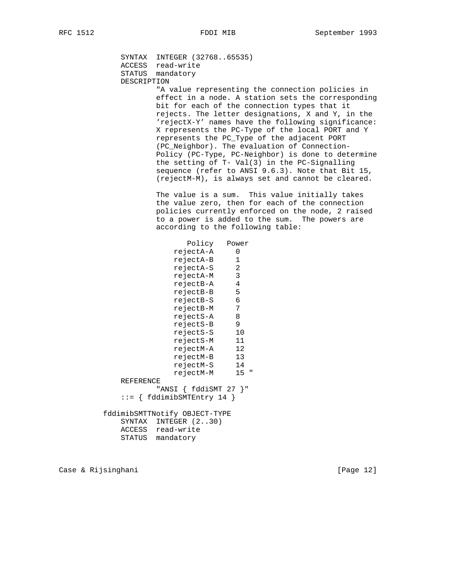SYNTAX INTEGER (32768..65535) ACCESS read-write STATUS mandatory DESCRIPTION "A value representing the connection policies in effect in a node. A station sets the corresponding bit for each of the connection types that it rejects. The letter designations, X and Y, in the 'rejectX-Y' names have the following significance: X represents the PC-Type of the local PORT and Y represents the PC\_Type of the adjacent PORT (PC\_Neighbor). The evaluation of Connection- Policy (PC-Type, PC-Neighbor) is done to determine the setting of T- Val(3) in the PC-Signalling sequence (refer to ANSI 9.6.3). Note that Bit 15, (rejectM-M), is always set and cannot be cleared. The value is a sum. This value initially takes the value zero, then for each of the connection policies currently enforced on the node, 2 raised to a power is added to the sum. The powers are according to the following table: Policy Power rejectA-A 0 rejectA-B 1 rejectA-S 2 rejectA-M 3 rejectB-A 4 rejectB-B 5<br>rejectB-S 6 rejectB-S 6<br>rejectB-M 7 rejectB-M 7 rejectS-A 8 rejectS-B 9 rejectS-S 10 rejectS-M 11 rejectM-A 12 rejectM-B 13 rejectM-S 14 rejectM-M 15 " REFERENCE "ANSI { fddiSMT 27 }" ::= { fddimibSMTEntry 14 } fddimibSMTTNotify OBJECT-TYPE SYNTAX INTEGER (2..30) ACCESS read-write STATUS mandatory

Case & Rijsinghani [Page 12]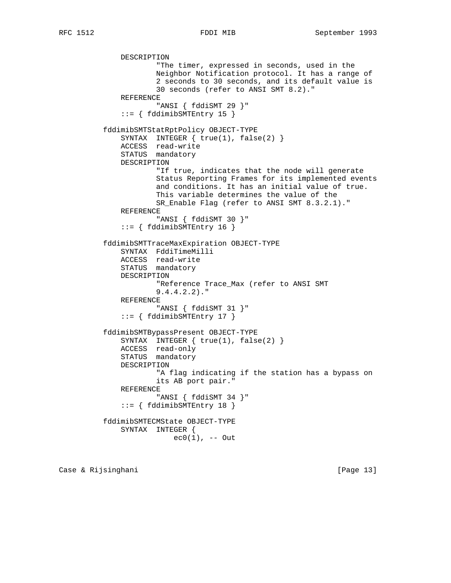DESCRIPTION "The timer, expressed in seconds, used in the Neighbor Notification protocol. It has a range of 2 seconds to 30 seconds, and its default value is 30 seconds (refer to ANSI SMT 8.2)." REFERENCE "ANSI { fddiSMT 29 }"  $::=$  { fddimibSMTEntry 15 } fddimibSMTStatRptPolicy OBJECT-TYPE SYNTAX INTEGER { true(1), false(2) } ACCESS read-write STATUS mandatory DESCRIPTION "If true, indicates that the node will generate Status Reporting Frames for its implemented events and conditions. It has an initial value of true. This variable determines the value of the SR\_Enable Flag (refer to ANSI SMT 8.3.2.1)." REFERENCE "ANSI { fddiSMT 30 }" ::= { fddimibSMTEntry 16 } fddimibSMTTraceMaxExpiration OBJECT-TYPE SYNTAX FddiTimeMilli ACCESS read-write STATUS mandatory DESCRIPTION "Reference Trace\_Max (refer to ANSI SMT 9.4.4.2.2)." REFERENCE "ANSI { fddiSMT 31 }" ::= { fddimibSMTEntry 17 } fddimibSMTBypassPresent OBJECT-TYPE SYNTAX INTEGER  $\{ true(1), false(2) \}$  ACCESS read-only STATUS mandatory DESCRIPTION "A flag indicating if the station has a bypass on its AB port pair." REFERENCE "ANSI { fddiSMT 34 }"  $::=$  { fddimibSMTEntry 18 } fddimibSMTECMState OBJECT-TYPE SYNTAX INTEGER {  $ec0(1)$ , -- Out

Case & Rijsinghani **berkena di kabupaten Separa Page 13** | Page 13 | Page 13 | Page 13 | Page 13 | Page 13 | Page 13 | Page 13 | Page 13 | Page 13 | Page 13 | Page 13 | Page 13 | Page 13 | Page 13 | Page 13 | Page 13 | Pag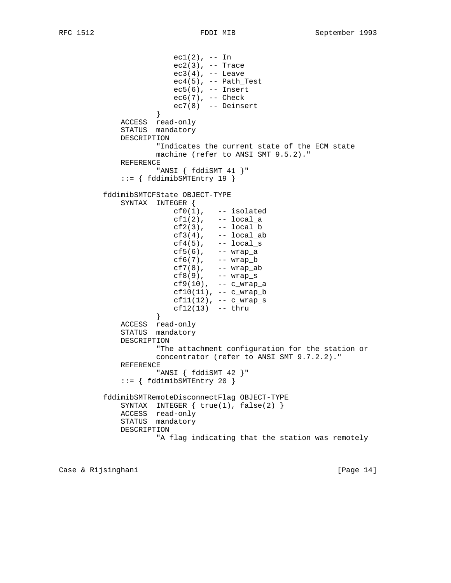ec1(2), -- In ec2(3), -- Trace  $ec3(4)$ , -- Leave  $ec4(5)$ , -- Path\_Test ec5(6), -- Insert ec6(7), -- Check ec7(8) -- Deinsert<br>} } ACCESS read-only STATUS mandatory DESCRIPTION "Indicates the current state of the ECM state machine (refer to ANSI SMT 9.5.2)." REFERENCE "ANSI { fddiSMT 41 }" ::= { fddimibSMTEntry 19 } fddimibSMTCFState OBJECT-TYPE SYNTAX INTEGER {  $cf0(1)$ ,  $--$  isolated  $cf1(2)$ , -- local a  $cf2(3)$ ,  $--$  local\_b  $cf3(4)$ ,  $- local\_ab$  $cf4(5)$ ,  $- local\_s$  cf5(6), -- wrap\_a cf6(7), -- wrap\_b cf7(8), -- wrap\_ab cf8(9), -- wrap\_s cf9(10), -- c\_wrap\_a cf10(11), -- c\_wrap\_b  $cf11(12)$ , --  $c_{wrap_s}$ cf12(13) -- thru  $\}$  } ACCESS read-only STATUS mandatory DESCRIPTION "The attachment configuration for the station or concentrator (refer to ANSI SMT 9.7.2.2)." REFERENCE "ANSI { fddiSMT 42 }" ::= { fddimibSMTEntry 20 } fddimibSMTRemoteDisconnectFlag OBJECT-TYPE SYNTAX INTEGER  $\{ true(1), false(2) \}$  ACCESS read-only STATUS mandatory DESCRIPTION "A flag indicating that the station was remotely

Case & Rijsinghani [Page 14]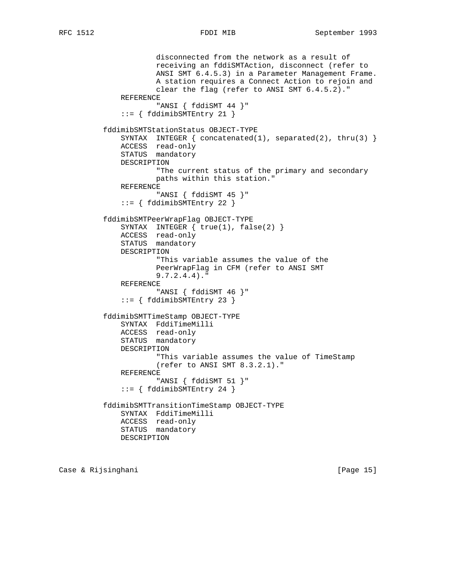```
 disconnected from the network as a result of
             receiving an fddiSMTAction, disconnect (refer to
             ANSI SMT 6.4.5.3) in a Parameter Management Frame.
             A station requires a Connect Action to rejoin and
             clear the flag (refer to ANSI SMT 6.4.5.2)."
     REFERENCE
             "ANSI { fddiSMT 44 }"
     ::= { fddimibSMTEntry 21 }
 fddimibSMTStationStatus OBJECT-TYPE
     SYNTAX INTEGER { concatenated(1), separated(2), thru(3) }
     ACCESS read-only
     STATUS mandatory
     DESCRIPTION
             "The current status of the primary and secondary
             paths within this station."
     REFERENCE
             "ANSI { fddiSMT 45 }"
     ::= { fddimibSMTEntry 22 }
 fddimibSMTPeerWrapFlag OBJECT-TYPE
    SYNTAX INTEGER \{ true(1), false(2) \} ACCESS read-only
     STATUS mandatory
     DESCRIPTION
             "This variable assumes the value of the
             PeerWrapFlag in CFM (refer to ANSI SMT
             9.7.2.4.4)."
     REFERENCE
             "ANSI { fddiSMT 46 }"
     ::= { fddimibSMTEntry 23 }
 fddimibSMTTimeStamp OBJECT-TYPE
     SYNTAX FddiTimeMilli
    ACCESS read-only
    STATUS mandatory
    DESCRIPTION
             "This variable assumes the value of TimeStamp
             (refer to ANSI SMT 8.3.2.1)."
     REFERENCE
             "ANSI { fddiSMT 51 }"
     ::= { fddimibSMTEntry 24 }
 fddimibSMTTransitionTimeStamp OBJECT-TYPE
     SYNTAX FddiTimeMilli
     ACCESS read-only
     STATUS mandatory
    DESCRIPTION
```
Case & Rijsinghani **berkena di kabupaten Separa Page 15** [Page 15]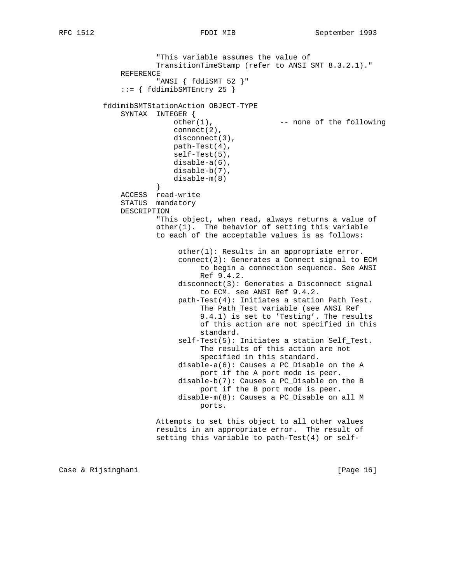```
 "This variable assumes the value of
                      TransitionTimeStamp (refer to ANSI SMT 8.3.2.1)."
              REFERENCE
                       "ANSI { fddiSMT 52 }"
               ::= { fddimibSMTEntry 25 }
           fddimibSMTStationAction OBJECT-TYPE
              SYNTAX INTEGER {
                          other(1), --- none of the following
                         connect(2), disconnect(3),
                          path-Test(4),
                          self-Test(5),
                          disable-a(6),
                          disable-b(7),
                          disable-m(8)
 }
              ACCESS read-write
              STATUS mandatory
              DESCRIPTION
                       "This object, when read, always returns a value of
                      other(1). The behavior of setting this variable
                      to each of the acceptable values is as follows:
                            other(1): Results in an appropriate error.
                            connect(2): Generates a Connect signal to ECM
                                 to begin a connection sequence. See ANSI
                                 Ref 9.4.2.
                            disconnect(3): Generates a Disconnect signal
                                 to ECM. see ANSI Ref 9.4.2.
                            path-Test(4): Initiates a station Path_Test.
                                 The Path_Test variable (see ANSI Ref
                                 9.4.1) is set to 'Testing'. The results
                                 of this action are not specified in this
                                 standard.
                            self-Test(5): Initiates a station Self_Test.
                                 The results of this action are not
                                 specified in this standard.
                            disable-a(6): Causes a PC_Disable on the A
                                 port if the A port mode is peer.
                            disable-b(7): Causes a PC_Disable on the B
                                port if the B port mode is peer.
                            disable-m(8): Causes a PC_Disable on all M
                                ports.
                      Attempts to set this object to all other values
                      results in an appropriate error. The result of
                      setting this variable to path-Test(4) or self-
```
Case & Rijsinghani **berkena di kabupaten Separa Page 16** | Page 16 | Page 16 | Page 16 | Page 16 | Page 16 | Page 16 | Page 16 | Page 16 | Page 16 | Page 16 | Page 16 | Page 16 | Page 16 | Page 16 | Page 16 | Page 16 | Pag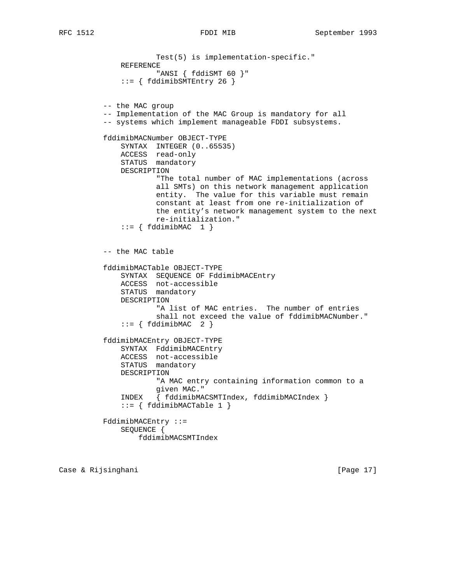```
 Test(5) is implementation-specific."
              REFERENCE
                      "ANSI { fddiSMT 60 }"
              ::= { fddimibSMTEntry 26 }
          -- the MAC group
          -- Implementation of the MAC Group is mandatory for all
          -- systems which implement manageable FDDI subsystems.
          fddimibMACNumber OBJECT-TYPE
              SYNTAX INTEGER (0..65535)
              ACCESS read-only
              STATUS mandatory
              DESCRIPTION
                      "The total number of MAC implementations (across
                      all SMTs) on this network management application
                      entity. The value for this variable must remain
                      constant at least from one re-initialization of
                      the entity's network management system to the next
                      re-initialization."
             ::= \{ fddimibMAC 1 \} -- the MAC table
          fddimibMACTable OBJECT-TYPE
              SYNTAX SEQUENCE OF FddimibMACEntry
 ACCESS not-accessible
STATUS mandatory
              DESCRIPTION
                      "A list of MAC entries. The number of entries
                      shall not exceed the value of fddimibMACNumber."
             ::= \{ fddimibMAC \quad 2 \} fddimibMACEntry OBJECT-TYPE
              SYNTAX FddimibMACEntry
 ACCESS not-accessible
STATUS mandatory
              DESCRIPTION
                      "A MAC entry containing information common to a
                      given MAC."
              INDEX { fddimibMACSMTIndex, fddimibMACIndex }
             ::= { fddimibMACTable 1 }
          FddimibMACEntry ::=
              SEQUENCE {
                  fddimibMACSMTIndex
```
Case & Rijsinghani **berkena di kabupaten Separa Page 17** [Page 17]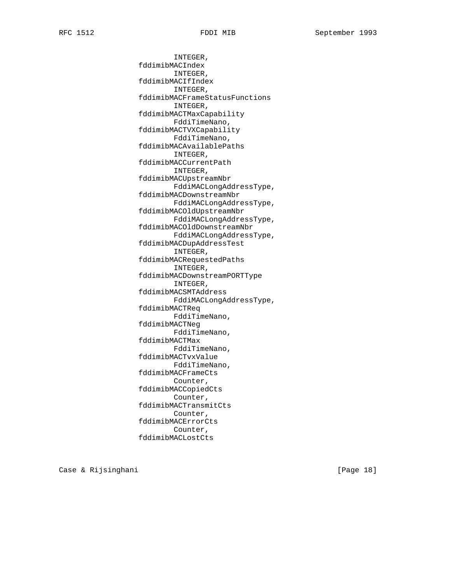INTEGER, fddimibMACIndex INTEGER, fddimibMACIfIndex INTEGER, fddimibMACFrameStatusFunctions INTEGER, fddimibMACTMaxCapability FddiTimeNano, fddimibMACTVXCapability FddiTimeNano, fddimibMACAvailablePaths INTEGER, fddimibMACCurrentPath INTEGER, fddimibMACUpstreamNbr FddiMACLongAddressType, fddimibMACDownstreamNbr FddiMACLongAddressType, fddimibMACOldUpstreamNbr FddiMACLongAddressType, fddimibMACOldDownstreamNbr FddiMACLongAddressType, fddimibMACDupAddressTest INTEGER, fddimibMACRequestedPaths INTEGER, fddimibMACDownstreamPORTType INTEGER, fddimibMACSMTAddress FddiMACLongAddressType, fddimibMACTReq FddiTimeNano, fddimibMACTNeg FddiTimeNano, fddimibMACTMax FddiTimeNano, fddimibMACTvxValue FddiTimeNano, fddimibMACFrameCts Counter, fddimibMACCopiedCts Counter, fddimibMACTransmitCts Counter, fddimibMACErrorCts Counter, fddimibMACLostCts

Case & Rijsinghani **berkena di kabupaten Sepanjara (Page 18**)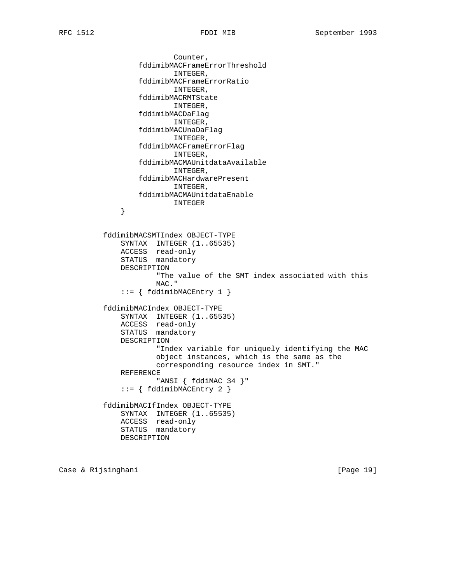Counter, fddimibMACFrameErrorThreshold INTEGER, fddimibMACFrameErrorRatio INTEGER, fddimibMACRMTState INTEGER, fddimibMACDaFlag INTEGER, fddimibMACUnaDaFlag INTEGER, fddimibMACFrameErrorFlag INTEGER, fddimibMACMAUnitdataAvailable INTEGER, fddimibMACHardwarePresent INTEGER, fddimibMACMAUnitdataEnable  ${\tt INTEGR} \label{thm:2}$  } fddimibMACSMTIndex OBJECT-TYPE SYNTAX INTEGER (1..65535) ACCESS read-only STATUS mandatory DESCRIPTION "The value of the SMT index associated with this MAC." ::= { fddimibMACEntry 1 } fddimibMACIndex OBJECT-TYPE SYNTAX INTEGER (1..65535) ACCESS read-only STATUS mandatory DESCRIPTION "Index variable for uniquely identifying the MAC object instances, which is the same as the corresponding resource index in SMT." REFERENCE "ANSI { fddiMAC 34 }" ::= { fddimibMACEntry 2 } fddimibMACIfIndex OBJECT-TYPE SYNTAX INTEGER (1..65535) ACCESS read-only

Case & Rijsinghani [Page 19]

STATUS mandatory

DESCRIPTION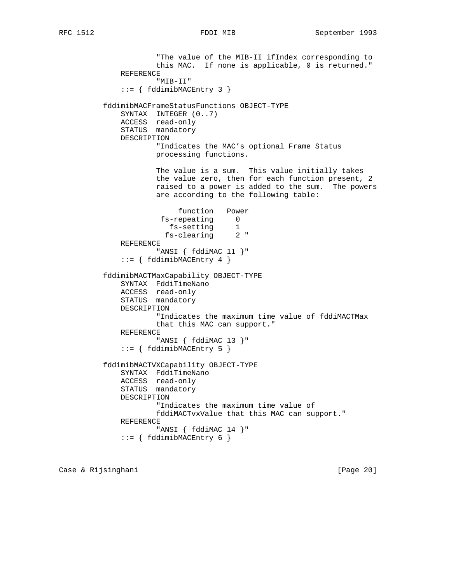"The value of the MIB-II ifIndex corresponding to this MAC. If none is applicable, 0 is returned." REFERENCE "MIB-II" ::= { fddimibMACEntry 3 } fddimibMACFrameStatusFunctions OBJECT-TYPE SYNTAX INTEGER (0..7) ACCESS read-only STATUS mandatory DESCRIPTION "Indicates the MAC's optional Frame Status processing functions. The value is a sum. This value initially takes the value zero, then for each function present, 2 raised to a power is added to the sum. The powers are according to the following table: function Power fs-repeating 0 fs-setting 1 fs-clearing 2 " REFERENCE "ANSI { fddiMAC 11 }"  $::=$  { fddimibMACEntry 4 } fddimibMACTMaxCapability OBJECT-TYPE SYNTAX FddiTimeNano ACCESS read-only STATUS mandatory DESCRIPTION "Indicates the maximum time value of fddiMACTMax that this MAC can support." REFERENCE "ANSI { fddiMAC 13 }" ::= { fddimibMACEntry 5 } fddimibMACTVXCapability OBJECT-TYPE SYNTAX FddiTimeNano ACCESS read-only STATUS mandatory DESCRIPTION "Indicates the maximum time value of fddiMACTvxValue that this MAC can support." REFERENCE "ANSI { fddiMAC 14 }" ::= { fddimibMACEntry 6 }

Case & Rijsinghani **berkena di kabupaten Sepanjara (Page 20**)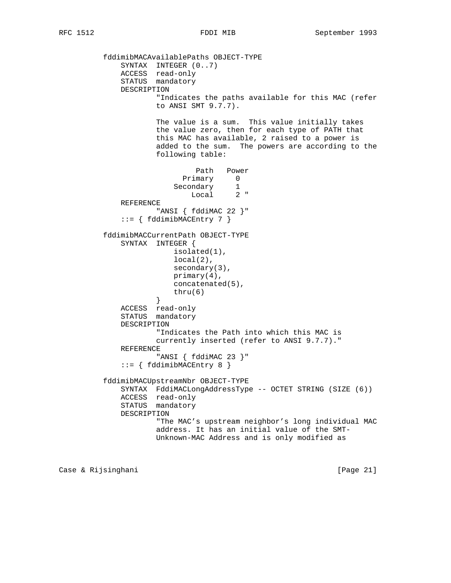fddimibMACAvailablePaths OBJECT-TYPE SYNTAX INTEGER  $(0..7)$  ACCESS read-only STATUS mandatory DESCRIPTION "Indicates the paths available for this MAC (refer to ANSI SMT 9.7.7). The value is a sum. This value initially takes the value zero, then for each type of PATH that this MAC has available, 2 raised to a power is added to the sum. The powers are according to the following table: Path Power Primary 0 Secondary 1 Local 2 " REFERENCE "ANSI { fddiMAC 22 }"  $::=$  { fddimibMACEntry 7 } fddimibMACCurrentPath OBJECT-TYPE SYNTAX INTEGER { isolated(1), local(2), secondary(3), primary(4), concatenated(5), thru(6) } ACCESS read-only STATUS mandatory DESCRIPTION "Indicates the Path into which this MAC is currently inserted (refer to ANSI 9.7.7)." REFERENCE "ANSI { fddiMAC 23 }" ::= { fddimibMACEntry 8 } fddimibMACUpstreamNbr OBJECT-TYPE SYNTAX FddiMACLongAddressType -- OCTET STRING (SIZE (6)) ACCESS read-only STATUS mandatory DESCRIPTION "The MAC's upstream neighbor's long individual MAC address. It has an initial value of the SMT- Unknown-MAC Address and is only modified as

Case & Rijsinghani **berkena di kabupaten Sepanjara (Page 21**)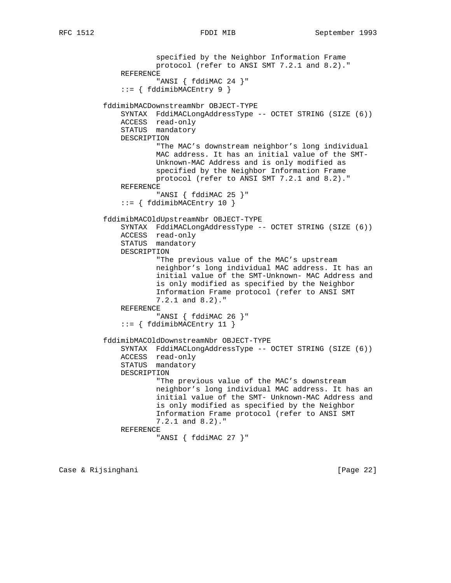```
 specified by the Neighbor Information Frame
                       protocol (refer to ANSI SMT 7.2.1 and 8.2)."
              REFERENCE
                       "ANSI { fddiMAC 24 }"
               ::= { fddimibMACEntry 9 }
           fddimibMACDownstreamNbr OBJECT-TYPE
              SYNTAX FddiMACLongAddressType -- OCTET STRING (SIZE (6))
              ACCESS read-only
              STATUS mandatory
              DESCRIPTION
                       "The MAC's downstream neighbor's long individual
                       MAC address. It has an initial value of the SMT-
                       Unknown-MAC Address and is only modified as
                       specified by the Neighbor Information Frame
                       protocol (refer to ANSI SMT 7.2.1 and 8.2)."
              REFERENCE
                       "ANSI { fddiMAC 25 }"
               ::= { fddimibMACEntry 10 }
           fddimibMACOldUpstreamNbr OBJECT-TYPE
              SYNTAX FddiMACLongAddressType -- OCTET STRING (SIZE (6))
              ACCESS read-only
              STATUS mandatory
              DESCRIPTION
                       "The previous value of the MAC's upstream
                       neighbor's long individual MAC address. It has an
                       initial value of the SMT-Unknown- MAC Address and
                       is only modified as specified by the Neighbor
                       Information Frame protocol (refer to ANSI SMT
                       7.2.1 and 8.2)."
              REFERENCE
                       "ANSI { fddiMAC 26 }"
               ::= { fddimibMACEntry 11 }
           fddimibMACOldDownstreamNbr OBJECT-TYPE
              SYNTAX FddiMACLongAddressType -- OCTET STRING (SIZE (6))
 ACCESS read-only
STATUS mandatory
              DESCRIPTION
                       "The previous value of the MAC's downstream
                       neighbor's long individual MAC address. It has an
                       initial value of the SMT- Unknown-MAC Address and
                       is only modified as specified by the Neighbor
                       Information Frame protocol (refer to ANSI SMT
                       7.2.1 and 8.2)."
              REFERENCE
                       "ANSI { fddiMAC 27 }"
```
Case & Rijsinghani [Page 22]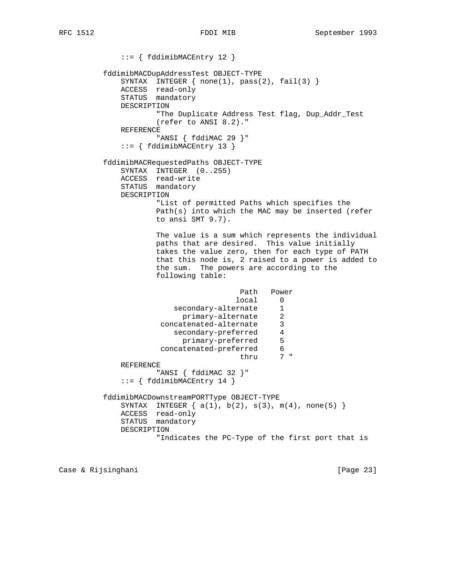::= { fddimibMACEntry 12 } fddimibMACDupAddressTest OBJECT-TYPE SYNTAX INTEGER  $\{ none(1), pass(2), fail(3) \}$  ACCESS read-only STATUS mandatory DESCRIPTION "The Duplicate Address Test flag, Dup\_Addr\_Test (refer to ANSI 8.2)." REFERENCE "ANSI { fddiMAC 29 }" ::= { fddimibMACEntry 13 } fddimibMACRequestedPaths OBJECT-TYPE SYNTAX INTEGER (0..255) ACCESS read-write STATUS mandatory DESCRIPTION "List of permitted Paths which specifies the Path(s) into which the MAC may be inserted (refer to ansi SMT 9.7). The value is a sum which represents the individual paths that are desired. This value initially takes the value zero, then for each type of PATH that this node is, 2 raised to a power is added to the sum. The powers are according to the following table: Path Power local 0<br>ernate 1 secondary-alternate primary-alternate 2 concatenated-alternate 3 secondary-preferred 4 primary-preferred 5 concatenated-preferred 6 thru 7 " REFERENCE "ANSI { fddiMAC 32 }" ::= { fddimibMACEntry 14 } fddimibMACDownstreamPORTType OBJECT-TYPE SYNTAX INTEGER  $\{ a(1), b(2), s(3), m(4), none(5) \}$  ACCESS read-only STATUS mandatory DESCRIPTION "Indicates the PC-Type of the first port that is

Case & Rijsinghani **berkena di kabupaten Sepanjara (Page 23**)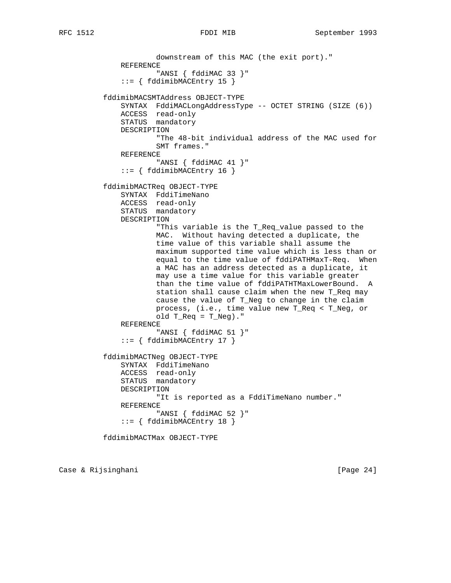```
 downstream of this MAC (the exit port)."
              REFERENCE
                       "ANSI { fddiMAC 33 }"
               ::= { fddimibMACEntry 15 }
          fddimibMACSMTAddress OBJECT-TYPE
              SYNTAX FddiMACLongAddressType -- OCTET STRING (SIZE (6))
              ACCESS read-only
              STATUS mandatory
              DESCRIPTION
                       "The 48-bit individual address of the MAC used for
                      SMT frames."
              REFERENCE
                      "ANSI { fddiMAC 41 }"
              ::= { fddimibMACEntry 16 }
          fddimibMACTReq OBJECT-TYPE
              SYNTAX FddiTimeNano
              ACCESS read-only
              STATUS mandatory
              DESCRIPTION
                      "This variable is the T_Req_value passed to the
                      MAC. Without having detected a duplicate, the
                      time value of this variable shall assume the
                      maximum supported time value which is less than or
 equal to the time value of fddiPATHMaxT-Req. When
 a MAC has an address detected as a duplicate, it
                      may use a time value for this variable greater
                      than the time value of fddiPATHTMaxLowerBound. A
                      station shall cause claim when the new T_Req may
                      cause the value of T_Neg to change in the claim
                      process, (i.e., time value new T_Req < T_Neg, or
                     old T_{Req} = T_{Reg})."
              REFERENCE
                       "ANSI { fddiMAC 51 }"
              ::= { fddimibMACEntry 17 }
           fddimibMACTNeg OBJECT-TYPE
              SYNTAX FddiTimeNano
              ACCESS read-only
              STATUS mandatory
              DESCRIPTION
                       "It is reported as a FddiTimeNano number."
              REFERENCE
                       "ANSI { fddiMAC 52 }"
               ::= { fddimibMACEntry 18 }
```
fddimibMACTMax OBJECT-TYPE

Case & Rijsinghani **berkena di kabupaten Sepanjara (Page 24**)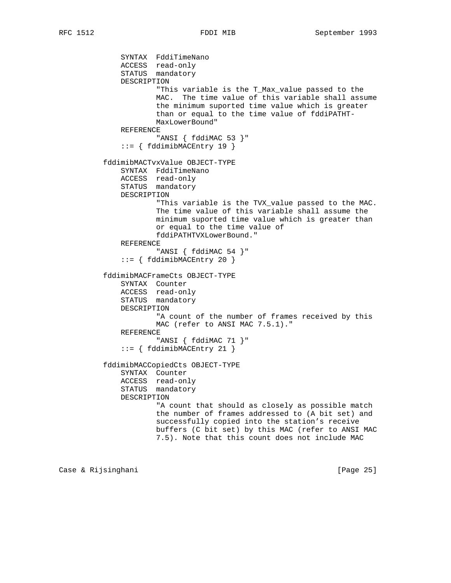```
 SYNTAX FddiTimeNano
 ACCESS read-only
STATUS mandatory
              DESCRIPTION
                      "This variable is the T_Max_value passed to the
                      MAC. The time value of this variable shall assume
                      the minimum suported time value which is greater
                      than or equal to the time value of fddiPATHT-
                      MaxLowerBound"
              REFERENCE
                      "ANSI { fddiMAC 53 }"
              ::= { fddimibMACEntry 19 }
          fddimibMACTvxValue OBJECT-TYPE
              SYNTAX FddiTimeNano
 ACCESS read-only
STATUS mandatory
              DESCRIPTION
                      "This variable is the TVX_value passed to the MAC.
                      The time value of this variable shall assume the
                      minimum suported time value which is greater than
                      or equal to the time value of
                     fddiPATHTVXLowerBound."
              REFERENCE
                      "ANSI { fddiMAC 54 }"
              ::= { fddimibMACEntry 20 }
          fddimibMACFrameCts OBJECT-TYPE
 SYNTAX Counter
 ACCESS read-only
              STATUS mandatory
              DESCRIPTION
                      "A count of the number of frames received by this
                     MAC (refer to ANSI MAC 7.5.1)."
              REFERENCE
                      "ANSI { fddiMAC 71 }"
              ::= { fddimibMACEntry 21 }
          fddimibMACCopiedCts OBJECT-TYPE
              SYNTAX Counter
              ACCESS read-only
              STATUS mandatory
              DESCRIPTION
                      "A count that should as closely as possible match
                      the number of frames addressed to (A bit set) and
                      successfully copied into the station's receive
                      buffers (C bit set) by this MAC (refer to ANSI MAC
                      7.5). Note that this count does not include MAC
```
Case & Rijsinghani **berkena di kabupaten Sepanjara (Page 25**)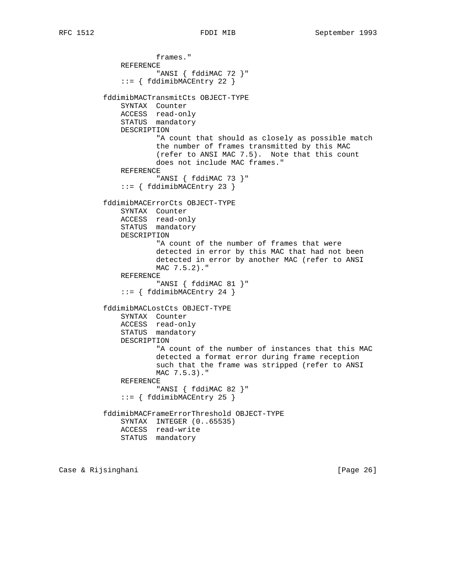```
 frames."
     REFERENCE
             "ANSI { fddiMAC 72 }"
     ::= { fddimibMACEntry 22 }
 fddimibMACTransmitCts OBJECT-TYPE
     SYNTAX Counter
     ACCESS read-only
    STATUS mandatory
    DESCRIPTION
             "A count that should as closely as possible match
             the number of frames transmitted by this MAC
             (refer to ANSI MAC 7.5). Note that this count
             does not include MAC frames."
     REFERENCE
             "ANSI { fddiMAC 73 }"
     ::= { fddimibMACEntry 23 }
 fddimibMACErrorCts OBJECT-TYPE
     SYNTAX Counter
     ACCESS read-only
     STATUS mandatory
     DESCRIPTION
             "A count of the number of frames that were
             detected in error by this MAC that had not been
             detected in error by another MAC (refer to ANSI
             MAC 7.5.2)."
     REFERENCE
             "ANSI { fddiMAC 81 }"
     ::= { fddimibMACEntry 24 }
 fddimibMACLostCts OBJECT-TYPE
    SYNTAX Counter
    ACCESS read-only
     STATUS mandatory
    DESCRIPTION
             "A count of the number of instances that this MAC
             detected a format error during frame reception
             such that the frame was stripped (refer to ANSI
             MAC 7.5.3)."
     REFERENCE
             "ANSI { fddiMAC 82 }"
     ::= { fddimibMACEntry 25 }
 fddimibMACFrameErrorThreshold OBJECT-TYPE
     SYNTAX INTEGER (0..65535)
    ACCESS read-write
    STATUS mandatory
```
Case & Rijsinghani **berkena di kabupaten Sepanjara (Page 26**)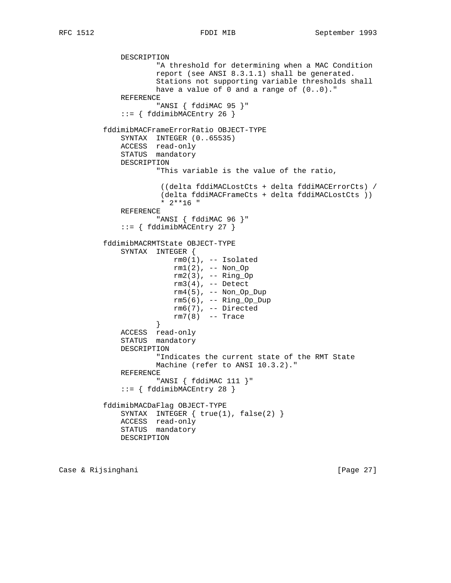DESCRIPTION "A threshold for determining when a MAC Condition report (see ANSI 8.3.1.1) shall be generated. Stations not supporting variable thresholds shall have a value of 0 and a range of (0..0)." REFERENCE "ANSI { fddiMAC 95 }" ::= { fddimibMACEntry 26 } fddimibMACFrameErrorRatio OBJECT-TYPE SYNTAX INTEGER (0..65535) ACCESS read-only STATUS mandatory DESCRIPTION "This variable is the value of the ratio, ((delta fddiMACLostCts + delta fddiMACErrorCts) / (delta fddiMACFrameCts + delta fddiMACLostCts )) \* 2\*\*16 " REFERENCE "ANSI { fddiMAC 96 }" ::= { fddimibMACEntry 27 } fddimibMACRMTState OBJECT-TYPE SYNTAX INTEGER { rm0(1), -- Isolated rm1(2), -- Non\_Op rm2(3), -- Ring\_Op rm3(4), -- Detect  $rm4(5)$ , -- Non\_Op\_Dup  $rm5(6)$ ,  $--$  Ring\_Op\_Dup rm6(7), -- Directed  $rm7(8)$  -- Trace } } ACCESS read-only STATUS mandatory DESCRIPTION "Indicates the current state of the RMT State Machine (refer to ANSI 10.3.2)." REFERENCE "ANSI { fddiMAC 111 }" ::= { fddimibMACEntry 28 } fddimibMACDaFlag OBJECT-TYPE SYNTAX INTEGER  $\{ true(1), false(2) \}$  ACCESS read-only STATUS mandatory DESCRIPTION

Case & Rijsinghani **berkena di kabupaten Sepanjara (Page 27**)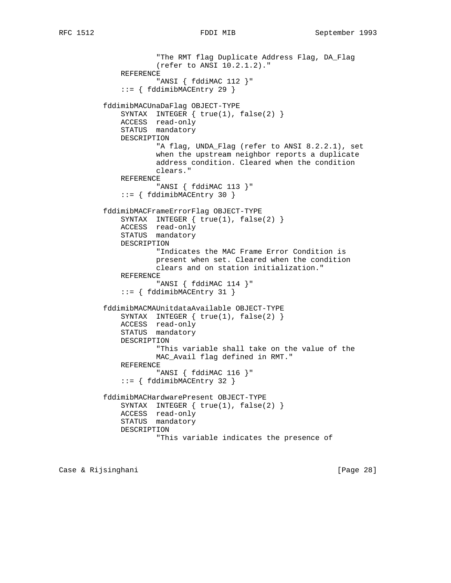"The RMT flag Duplicate Address Flag, DA\_Flag (refer to ANSI 10.2.1.2)." REFERENCE "ANSI { fddiMAC 112 }" ::= { fddimibMACEntry 29 } fddimibMACUnaDaFlag OBJECT-TYPE SYNTAX INTEGER { true(1), false(2) } ACCESS read-only STATUS mandatory DESCRIPTION "A flag, UNDA\_Flag (refer to ANSI 8.2.2.1), set when the upstream neighbor reports a duplicate address condition. Cleared when the condition clears." REFERENCE "ANSI { fddiMAC 113 }" ::= { fddimibMACEntry 30 } fddimibMACFrameErrorFlag OBJECT-TYPE SYNTAX INTEGER { true(1), false(2) } ACCESS read-only STATUS mandatory DESCRIPTION "Indicates the MAC Frame Error Condition is present when set. Cleared when the condition clears and on station initialization." REFERENCE "ANSI { fddiMAC 114 }" ::= { fddimibMACEntry 31 } fddimibMACMAUnitdataAvailable OBJECT-TYPE SYNTAX INTEGER  $\{ true(1), false(2) \}$  ACCESS read-only STATUS mandatory DESCRIPTION "This variable shall take on the value of the MAC\_Avail flag defined in RMT." REFERENCE "ANSI { fddiMAC 116 }" ::= { fddimibMACEntry 32 } fddimibMACHardwarePresent OBJECT-TYPE SYNTAX INTEGER  $\{ true(1), false(2) \}$  ACCESS read-only STATUS mandatory DESCRIPTION "This variable indicates the presence of

Case & Rijsinghani **berkena di kabupaten Sepanjara (Page 28**)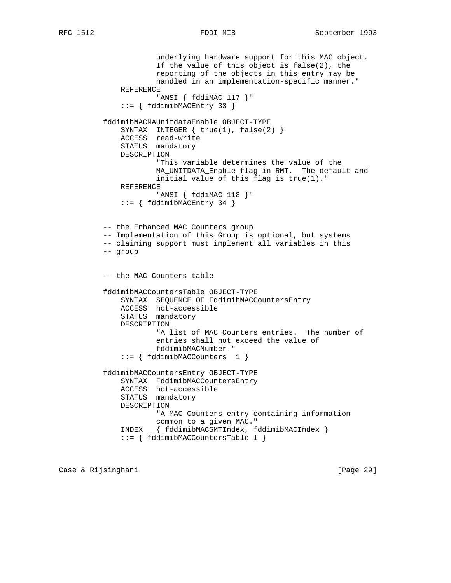```
 underlying hardware support for this MAC object.
             If the value of this object is false(2), the
             reporting of the objects in this entry may be
             handled in an implementation-specific manner."
     REFERENCE
             "ANSI { fddiMAC 117 }"
     ::= { fddimibMACEntry 33 }
 fddimibMACMAUnitdataEnable OBJECT-TYPE
    SYNTAX INTEGER \{ true(1), false(2) \} ACCESS read-write
     STATUS mandatory
     DESCRIPTION
             "This variable determines the value of the
             MA_UNITDATA_Enable flag in RMT. The default and
             initial value of this flag is true(1)."
     REFERENCE
             "ANSI { fddiMAC 118 }"
     ::= { fddimibMACEntry 34 }
 -- the Enhanced MAC Counters group
 -- Implementation of this Group is optional, but systems
 -- claiming support must implement all variables in this
 -- group
 -- the MAC Counters table
 fddimibMACCountersTable OBJECT-TYPE
     SYNTAX SEQUENCE OF FddimibMACCountersEntry
     ACCESS not-accessible
     STATUS mandatory
     DESCRIPTION
             "A list of MAC Counters entries. The number of
             entries shall not exceed the value of
             fddimibMACNumber."
     ::= { fddimibMACCounters 1 }
 fddimibMACCountersEntry OBJECT-TYPE
     SYNTAX FddimibMACCountersEntry
     ACCESS not-accessible
     STATUS mandatory
     DESCRIPTION
             "A MAC Counters entry containing information
             common to a given MAC."
     INDEX { fddimibMACSMTIndex, fddimibMACIndex }
     ::= { fddimibMACCountersTable 1 }
```
Case & Rijsinghani [Page 29]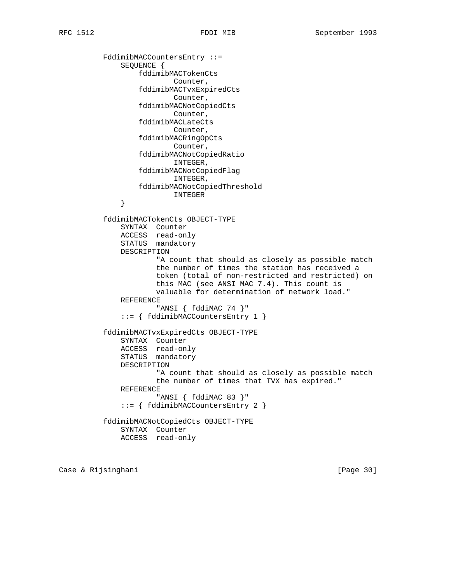FddimibMACCountersEntry ::= SEQUENCE { fddimibMACTokenCts Counter, fddimibMACTvxExpiredCts Counter, fddimibMACNotCopiedCts Counter, fddimibMACLateCts Counter, fddimibMACRingOpCts Counter, fddimibMACNotCopiedRatio INTEGER, fddimibMACNotCopiedFlag INTEGER, fddimibMACNotCopiedThreshold INTEGER } fddimibMACTokenCts OBJECT-TYPE SYNTAX Counter ACCESS read-only STATUS mandatory DESCRIPTION "A count that should as closely as possible match the number of times the station has received a token (total of non-restricted and restricted) on this MAC (see ANSI MAC 7.4). This count is valuable for determination of network load." REFERENCE "ANSI { fddiMAC 74 }" ::= { fddimibMACCountersEntry 1 } fddimibMACTvxExpiredCts OBJECT-TYPE SYNTAX Counter ACCESS read-only STATUS mandatory DESCRIPTION "A count that should as closely as possible match the number of times that TVX has expired." REFERENCE "ANSI { fddiMAC 83 }" ::= { fddimibMACCountersEntry 2 } fddimibMACNotCopiedCts OBJECT-TYPE SYNTAX Counter ACCESS read-only

Case & Rijsinghani **berkena di kabupaten Sepanjara (Page 30**)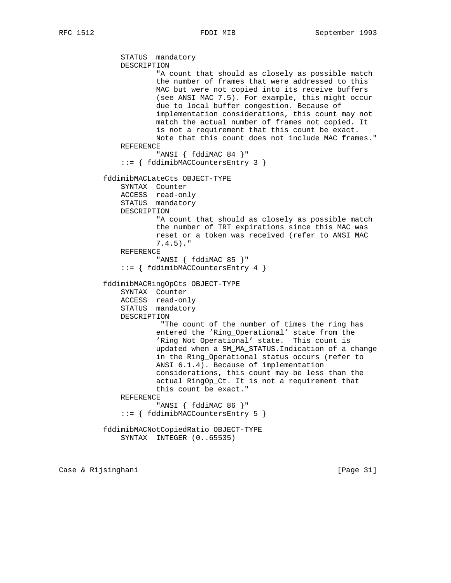```
 STATUS mandatory
     DESCRIPTION
             "A count that should as closely as possible match
             the number of frames that were addressed to this
             MAC but were not copied into its receive buffers
             (see ANSI MAC 7.5). For example, this might occur
             due to local buffer congestion. Because of
             implementation considerations, this count may not
             match the actual number of frames not copied. It
             is not a requirement that this count be exact.
             Note that this count does not include MAC frames."
     REFERENCE
             "ANSI { fddiMAC 84 }"
     ::= { fddimibMACCountersEntry 3 }
 fddimibMACLateCts OBJECT-TYPE
     SYNTAX Counter
     ACCESS read-only
     STATUS mandatory
     DESCRIPTION
             "A count that should as closely as possible match
             the number of TRT expirations since this MAC was
             reset or a token was received (refer to ANSI MAC
             7.4.5)."
     REFERENCE
             "ANSI { fddiMAC 85 }"
     ::= { fddimibMACCountersEntry 4 }
 fddimibMACRingOpCts OBJECT-TYPE
     SYNTAX Counter
     ACCESS read-only
     STATUS mandatory
     DESCRIPTION
              "The count of the number of times the ring has
             entered the 'Ring_Operational' state from the
             'Ring Not Operational' state. This count is
             updated when a SM_MA_STATUS.Indication of a change
             in the Ring_Operational status occurs (refer to
             ANSI 6.1.4). Because of implementation
             considerations, this count may be less than the
             actual RingOp_Ct. It is not a requirement that
             this count be exact."
     REFERENCE
             "ANSI { fddiMAC 86 }"
     ::= { fddimibMACCountersEntry 5 }
 fddimibMACNotCopiedRatio OBJECT-TYPE
```

```
 SYNTAX INTEGER (0..65535)
```
Case & Rijsinghani **berkena di kabupaten Sepanjara (Page 31**)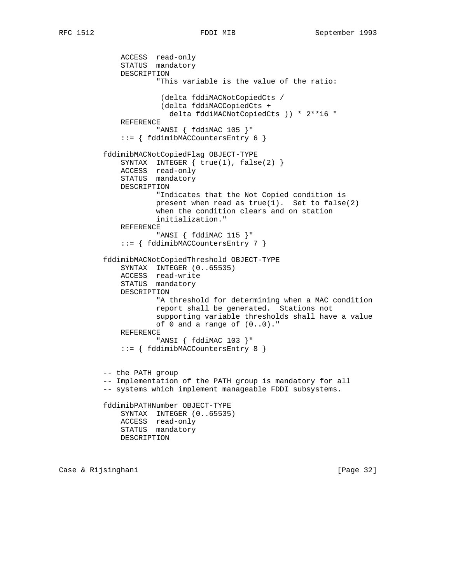ACCESS read-only STATUS mandatory DESCRIPTION "This variable is the value of the ratio: (delta fddiMACNotCopiedCts / (delta fddiMACCopiedCts + delta fddiMACNotCopiedCts )) \* 2\*\*16 " REFERENCE "ANSI { fddiMAC 105 }" ::= { fddimibMACCountersEntry 6 } fddimibMACNotCopiedFlag OBJECT-TYPE SYNTAX INTEGER { true(1), false(2) } ACCESS read-only STATUS mandatory DESCRIPTION "Indicates that the Not Copied condition is present when read as true(1). Set to false(2) when the condition clears and on station initialization." REFERENCE "ANSI { fddiMAC 115 }" ::= { fddimibMACCountersEntry 7 } fddimibMACNotCopiedThreshold OBJECT-TYPE SYNTAX INTEGER (0..65535) ACCESS read-write STATUS mandatory DESCRIPTION "A threshold for determining when a MAC condition report shall be generated. Stations not supporting variable thresholds shall have a value of 0 and a range of (0..0)." REFERENCE "ANSI { fddiMAC 103 }" ::= { fddimibMACCountersEntry 8 } -- the PATH group -- Implementation of the PATH group is mandatory for all -- systems which implement manageable FDDI subsystems. fddimibPATHNumber OBJECT-TYPE SYNTAX INTEGER (0..65535) ACCESS read-only STATUS mandatory DESCRIPTION

Case & Rijsinghani [Page 32]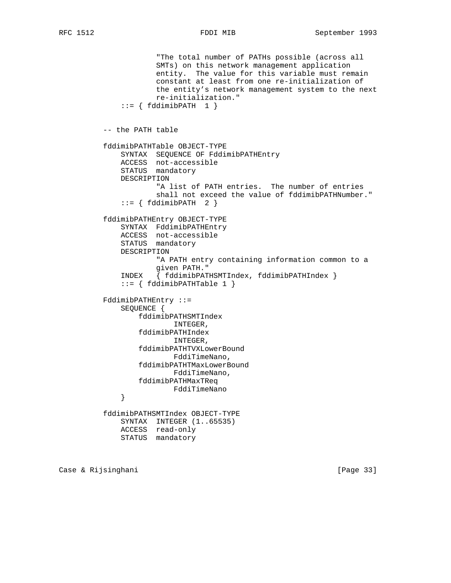```
 "The total number of PATHs possible (across all
                      SMTs) on this network management application
                      entity. The value for this variable must remain
                      constant at least from one re-initialization of
                      the entity's network management system to the next
                      re-initialization."
             ::= \{ fddimibPATH 1 \} -- the PATH table
          fddimibPATHTable OBJECT-TYPE
              SYNTAX SEQUENCE OF FddimibPATHEntry
 ACCESS not-accessible
STATUS mandatory
              DESCRIPTION
                      "A list of PATH entries. The number of entries
                      shall not exceed the value of fddimibPATHNumber."
             ::= { fddimibPATH 2 }
          fddimibPATHEntry OBJECT-TYPE
              SYNTAX FddimibPATHEntry
              ACCESS not-accessible
              STATUS mandatory
              DESCRIPTION
                      "A PATH entry containing information common to a
                      given PATH."
              INDEX { fddimibPATHSMTIndex, fddimibPATHIndex }
              ::= { fddimibPATHTable 1 }
          FddimibPATHEntry ::=
              SEQUENCE {
                  fddimibPATHSMTIndex
                          INTEGER,
                  fddimibPATHIndex
                         INTEGER,
                  fddimibPATHTVXLowerBound
                         FddiTimeNano,
                  fddimibPATHTMaxLowerBound
                         FddiTimeNano,
                  fddimibPATHMaxTReq
              FddiTimeNano
 }
          fddimibPATHSMTIndex OBJECT-TYPE
              SYNTAX INTEGER (1..65535)
              ACCESS read-only
              STATUS mandatory
```
Case & Rijsinghani **berkena di kabupaten Sepanjara (Page 33**)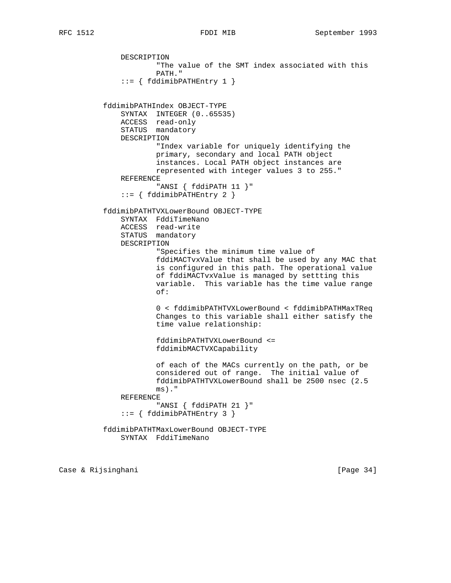```
 DESCRIPTION
                       "The value of the SMT index associated with this
                       PATH."
              ::= { fddimibPATHEntry 1 }
           fddimibPATHIndex OBJECT-TYPE
              SYNTAX INTEGER (0..65535)
              ACCESS read-only
              STATUS mandatory
              DESCRIPTION
                       "Index variable for uniquely identifying the
                       primary, secondary and local PATH object
                       instances. Local PATH object instances are
                      represented with integer values 3 to 255."
              REFERENCE
                      "ANSI { fddiPATH 11 }"
               ::= { fddimibPATHEntry 2 }
           fddimibPATHTVXLowerBound OBJECT-TYPE
              SYNTAX FddiTimeNano
              ACCESS read-write
              STATUS mandatory
              DESCRIPTION
                       "Specifies the minimum time value of
                       fddiMACTvxValue that shall be used by any MAC that
                       is configured in this path. The operational value
                       of fddiMACTvxValue is managed by settting this
                       variable. This variable has the time value range
 of:
                       0 < fddimibPATHTVXLowerBound < fddimibPATHMaxTReq
                       Changes to this variable shall either satisfy the
                       time value relationship:
                       fddimibPATHTVXLowerBound <=
                       fddimibMACTVXCapability
                       of each of the MACs currently on the path, or be
                       considered out of range. The initial value of
                       fddimibPATHTVXLowerBound shall be 2500 nsec (2.5
                       ms)."
              REFERENCE
                      "ANSI { fddiPATH 21 }"
               ::= { fddimibPATHEntry 3 }
           fddimibPATHTMaxLowerBound OBJECT-TYPE
              SYNTAX FddiTimeNano
```
Case & Rijsinghani [Page 34]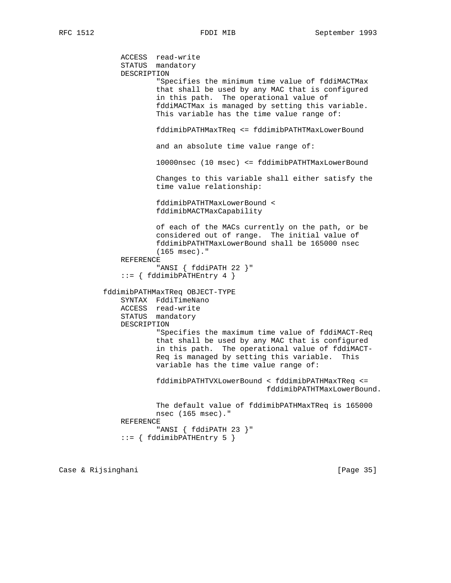ACCESS read-write STATUS mandatory DESCRIPTION "Specifies the minimum time value of fddiMACTMax that shall be used by any MAC that is configured in this path. The operational value of fddiMACTMax is managed by setting this variable. This variable has the time value range of: fddimibPATHMaxTReq <= fddimibPATHTMaxLowerBound and an absolute time value range of: 10000nsec (10 msec) <= fddimibPATHTMaxLowerBound Changes to this variable shall either satisfy the time value relationship: fddimibPATHTMaxLowerBound < fddimibMACTMaxCapability of each of the MACs currently on the path, or be considered out of range. The initial value of fddimibPATHTMaxLowerBound shall be 165000 nsec (165 msec)." REFERENCE "ANSI { fddiPATH 22 }" ::= { fddimibPATHEntry 4 } fddimibPATHMaxTReq OBJECT-TYPE SYNTAX FddiTimeNano ACCESS read-write STATUS mandatory DESCRIPTION "Specifies the maximum time value of fddiMACT-Req that shall be used by any MAC that is configured in this path. The operational value of fddiMACT- Req is managed by setting this variable. This variable has the time value range of: fddimibPATHTVXLowerBound < fddimibPATHMaxTReq <= fddimibPATHTMaxLowerBound. The default value of fddimibPATHMaxTReq is 165000 nsec (165 msec)." REFERENCE "ANSI { fddiPATH 23 }" ::= { fddimibPATHEntry 5 }

Case & Rijsinghani **berkena di kabupaten Sepanjara (Page 35**)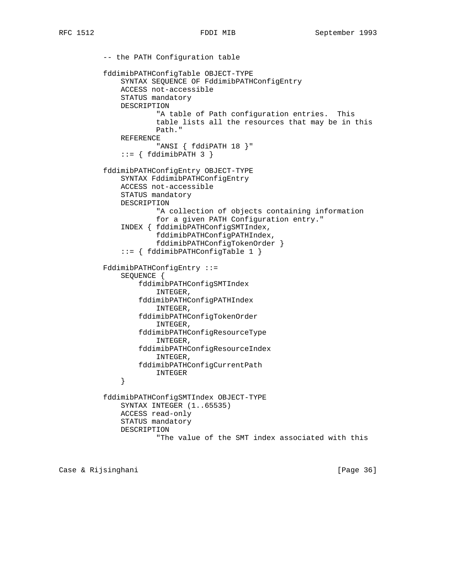-- the PATH Configuration table fddimibPATHConfigTable OBJECT-TYPE SYNTAX SEQUENCE OF FddimibPATHConfigEntry ACCESS not-accessible STATUS mandatory DESCRIPTION "A table of Path configuration entries. This table lists all the resources that may be in this Path." REFERENCE "ANSI { fddiPATH 18 }"  $::= \{ fddimibPATH 3 \}$  fddimibPATHConfigEntry OBJECT-TYPE SYNTAX FddimibPATHConfigEntry ACCESS not-accessible STATUS mandatory DESCRIPTION "A collection of objects containing information for a given PATH Configuration entry." INDEX { fddimibPATHConfigSMTIndex, fddimibPATHConfigPATHIndex, fddimibPATHConfigTokenOrder } ::= { fddimibPATHConfigTable 1 } FddimibPATHConfigEntry ::= SEQUENCE { fddimibPATHConfigSMTIndex INTEGER, fddimibPATHConfigPATHIndex INTEGER, fddimibPATHConfigTokenOrder INTEGER, fddimibPATHConfigResourceType INTEGER, fddimibPATHConfigResourceIndex INTEGER, fddimibPATHConfigCurrentPath  $\begin{tabular}{c} \bf{INTEGR} \\ \end{tabular}$  } fddimibPATHConfigSMTIndex OBJECT-TYPE SYNTAX INTEGER (1..65535) ACCESS read-only STATUS mandatory DESCRIPTION "The value of the SMT index associated with this

Case & Rijsinghani **berkena di kabupaten Sepanjara (Page 36**)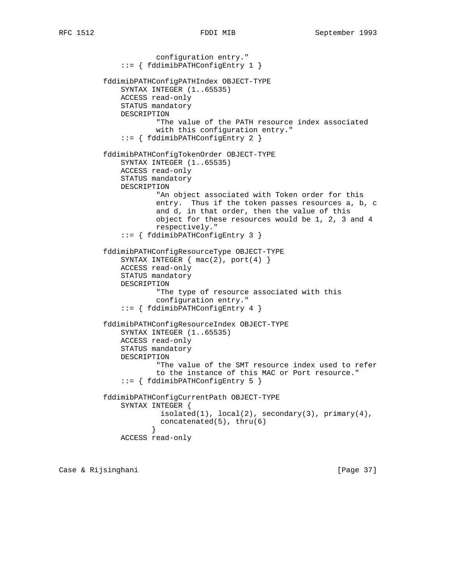```
 configuration entry."
               ::= { fddimibPATHConfigEntry 1 }
           fddimibPATHConfigPATHIndex OBJECT-TYPE
               SYNTAX INTEGER (1..65535)
               ACCESS read-only
               STATUS mandatory
               DESCRIPTION
                       "The value of the PATH resource index associated
                       with this configuration entry."
               ::= { fddimibPATHConfigEntry 2 }
           fddimibPATHConfigTokenOrder OBJECT-TYPE
               SYNTAX INTEGER (1..65535)
               ACCESS read-only
               STATUS mandatory
               DESCRIPTION
                       "An object associated with Token order for this
                       entry. Thus if the token passes resources a, b, c
                       and d, in that order, then the value of this
                       object for these resources would be 1, 2, 3 and 4
                       respectively."
               ::= { fddimibPATHConfigEntry 3 }
           fddimibPATHConfigResourceType OBJECT-TYPE
               SYNTAX INTEGER { mac(2), port(4) }
               ACCESS read-only
               STATUS mandatory
               DESCRIPTION
                       "The type of resource associated with this
                       configuration entry."
               ::= { fddimibPATHConfigEntry 4 }
           fddimibPATHConfigResourceIndex OBJECT-TYPE
               SYNTAX INTEGER (1..65535)
               ACCESS read-only
               STATUS mandatory
               DESCRIPTION
                       "The value of the SMT resource index used to refer
                       to the instance of this MAC or Port resource."
               ::= { fddimibPATHConfigEntry 5 }
           fddimibPATHConfigCurrentPath OBJECT-TYPE
               SYNTAX INTEGER {
                       isolated(1), local(2), secondary(3), primary(4),
                        concatenated(5), thru(6)
 }
               ACCESS read-only
```
Case & Rijsinghani [Page 37]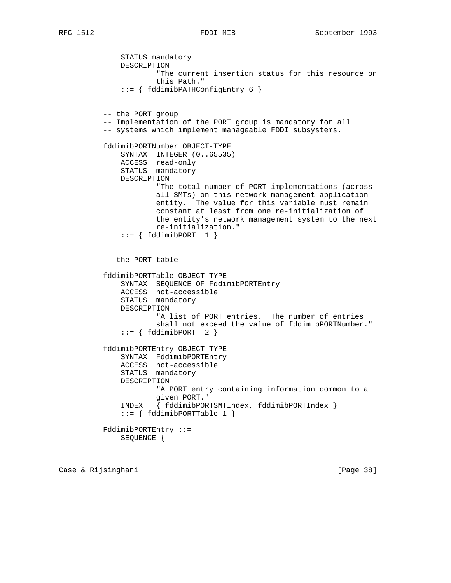STATUS mandatory

 DESCRIPTION "The current insertion status for this resource on this Path." ::= { fddimibPATHConfigEntry 6 } -- the PORT group -- Implementation of the PORT group is mandatory for all -- systems which implement manageable FDDI subsystems. fddimibPORTNumber OBJECT-TYPE SYNTAX INTEGER (0..65535) ACCESS read-only STATUS mandatory DESCRIPTION "The total number of PORT implementations (across all SMTs) on this network management application entity. The value for this variable must remain constant at least from one re-initialization of the entity's network management system to the next re-initialization."  $::= \{ fddimibPORT \quad 1 \}$  -- the PORT table fddimibPORTTable OBJECT-TYPE SYNTAX SEQUENCE OF FddimibPORTEntry ACCESS not-accessible STATUS mandatory DESCRIPTION "A list of PORT entries. The number of entries shall not exceed the value of fddimibPORTNumber."  $::=$  {  $fddimibPORT$  2 } fddimibPORTEntry OBJECT-TYPE SYNTAX FddimibPORTEntry ACCESS not-accessible STATUS mandatory DESCRIPTION "A PORT entry containing information common to a given PORT." INDEX { fddimibPORTSMTIndex, fddimibPORTIndex }  $::=$  { fddimibPORTTable 1 } FddimibPORTEntry ::= SEQUENCE {

Case & Rijsinghani **berkena di kabupaten Sepanjara (Page 38**)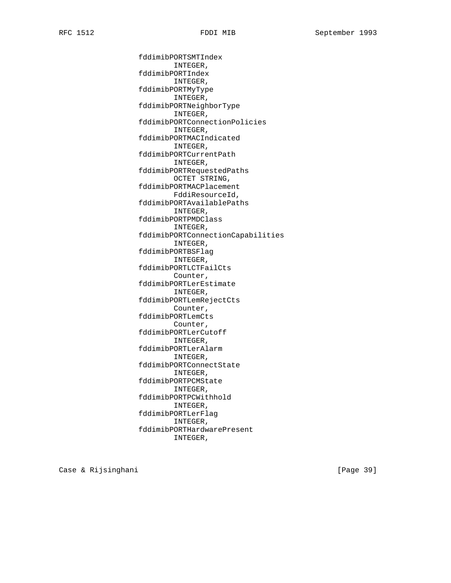fddimibPORTSMTIndex INTEGER, fddimibPORTIndex INTEGER, fddimibPORTMyType INTEGER, fddimibPORTNeighborType INTEGER, fddimibPORTConnectionPolicies INTEGER, fddimibPORTMACIndicated INTEGER, fddimibPORTCurrentPath INTEGER, fddimibPORTRequestedPaths OCTET STRING, fddimibPORTMACPlacement FddiResourceId, fddimibPORTAvailablePaths INTEGER, fddimibPORTPMDClass INTEGER, fddimibPORTConnectionCapabilities INTEGER, fddimibPORTBSFlag INTEGER, fddimibPORTLCTFailCts Counter, fddimibPORTLerEstimate INTEGER, fddimibPORTLemRejectCts Counter, fddimibPORTLemCts Counter, fddimibPORTLerCutoff INTEGER, fddimibPORTLerAlarm INTEGER, fddimibPORTConnectState INTEGER, fddimibPORTPCMState INTEGER, fddimibPORTPCWithhold INTEGER, fddimibPORTLerFlag INTEGER, fddimibPORTHardwarePresent INTEGER,

Case & Rijsinghani [Page 39]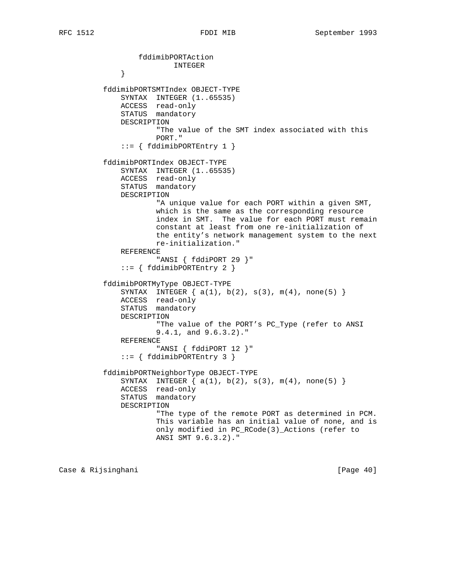```
 fddimibPORTAction
             INTEGER }
 }
          fddimibPORTSMTIndex OBJECT-TYPE
              SYNTAX INTEGER (1..65535)
              ACCESS read-only
              STATUS mandatory
              DESCRIPTION
                      "The value of the SMT index associated with this
                      PORT."
              ::= { fddimibPORTEntry 1 }
          fddimibPORTIndex OBJECT-TYPE
SYNTAX INTEGER (1..65535)
 ACCESS read-only
STATUS mandatory
              DESCRIPTION
                      "A unique value for each PORT within a given SMT,
                      which is the same as the corresponding resource
                      index in SMT. The value for each PORT must remain
                      constant at least from one re-initialization of
                      the entity's network management system to the next
                      re-initialization."
              REFERENCE
                      "ANSI { fddiPORT 29 }"
              ::= { fddimibPORTEntry 2 }
          fddimibPORTMyType OBJECT-TYPE
             SYNTAX INTEGER \{ a(1), b(2), s(3), m(4), none(5) \} ACCESS read-only
              STATUS mandatory
              DESCRIPTION
                     "The value of the PORT's PC Type (refer to ANSI
                      9.4.1, and 9.6.3.2)."
              REFERENCE
                      "ANSI { fddiPORT 12 }"
              ::= { fddimibPORTEntry 3 }
          fddimibPORTNeighborType OBJECT-TYPE
             SYNTAX INTEGER \{ a(1), b(2), s(3), m(4), none(5) \} ACCESS read-only
              STATUS mandatory
              DESCRIPTION
                      "The type of the remote PORT as determined in PCM.
                      This variable has an initial value of none, and is
                      only modified in PC_RCode(3)_Actions (refer to
                      ANSI SMT 9.6.3.2)."
```
Case & Rijsinghani **berkena di kabupaten Separa Page 40**]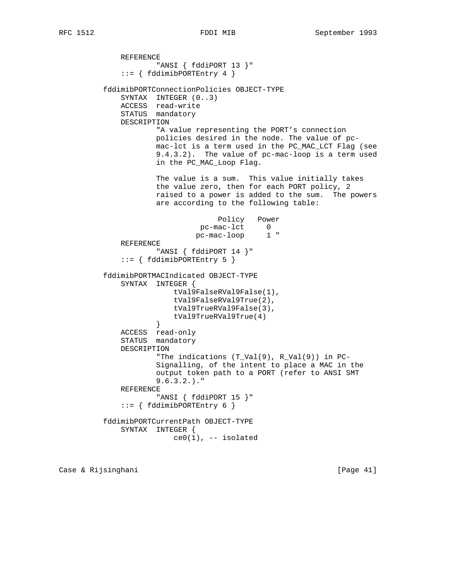REFERENCE "ANSI { fddiPORT 13 }" ::= { fddimibPORTEntry 4 } fddimibPORTConnectionPolicies OBJECT-TYPE SYNTAX INTEGER (0..3) ACCESS read-write STATUS mandatory DESCRIPTION "A value representing the PORT's connection policies desired in the node. The value of pc mac-lct is a term used in the PC\_MAC\_LCT Flag (see 9.4.3.2). The value of pc-mac-loop is a term used in the PC\_MAC\_Loop Flag. The value is a sum. This value initially takes the value zero, then for each PORT policy, 2 raised to a power is added to the sum. The powers are according to the following table: Policy Power pc-mac-lct 0 pc-mac-loop 1 " REFERENCE "ANSI { fddiPORT 14 }" ::= { fddimibPORTEntry 5 } fddimibPORTMACIndicated OBJECT-TYPE SYNTAX INTEGER { tVal9FalseRVal9False(1), tVal9FalseRVal9True(2), tVal9TrueRVal9False(3), tVal9TrueRVal9True(4)<br>} } ACCESS read-only STATUS mandatory DESCRIPTION "The indications (T\_Val(9), R\_Val(9)) in PC- Signalling, of the intent to place a MAC in the output token path to a PORT (refer to ANSI SMT 9.6.3.2.)." REFERENCE "ANSI { fddiPORT 15 }"  $::=$  { fddimibPORTEntry 6 } fddimibPORTCurrentPath OBJECT-TYPE SYNTAX INTEGER {  $ce0(1)$ , -- isolated

Case & Rijsinghani **berkena di kabupaten Separa Page 41** (Page 41)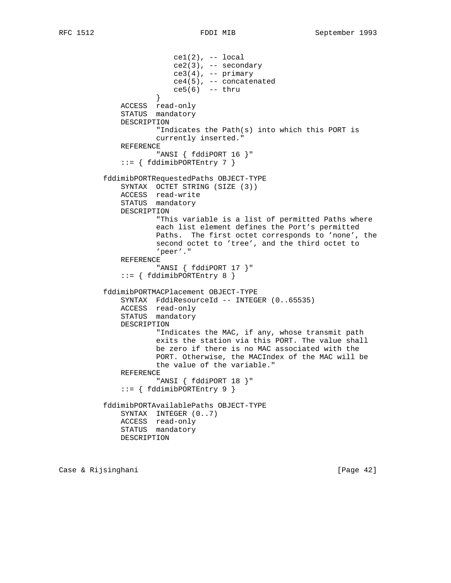$cel(2)$ ,  $- local$  ce2(3), -- secondary  $ce3(4)$ , -- primary ce4(5), -- concatenated ce5(6) -- thru } ACCESS read-only STATUS mandatory DESCRIPTION "Indicates the Path(s) into which this PORT is currently inserted." REFERENCE "ANSI { fddiPORT 16 }"  $::=$  { fddimibPORTEntry 7 } fddimibPORTRequestedPaths OBJECT-TYPE SYNTAX OCTET STRING (SIZE (3)) ACCESS read-write STATUS mandatory DESCRIPTION "This variable is a list of permitted Paths where each list element defines the Port's permitted Paths. The first octet corresponds to 'none', the second octet to 'tree', and the third octet to 'peer'." REFERENCE "ANSI { fddiPORT 17 }"  $::=$  { fddimibPORTEntry 8 } fddimibPORTMACPlacement OBJECT-TYPE SYNTAX FddiResourceId -- INTEGER (0..65535) ACCESS read-only STATUS mandatory DESCRIPTION "Indicates the MAC, if any, whose transmit path exits the station via this PORT. The value shall be zero if there is no MAC associated with the PORT. Otherwise, the MACIndex of the MAC will be the value of the variable." REFERENCE "ANSI { fddiPORT 18 }" ::= { fddimibPORTEntry 9 } fddimibPORTAvailablePaths OBJECT-TYPE SYNTAX INTEGER (0..7) ACCESS read-only STATUS mandatory DESCRIPTION

Case & Rijsinghani **berkena di kabupaten Sepanjara (Page 42**)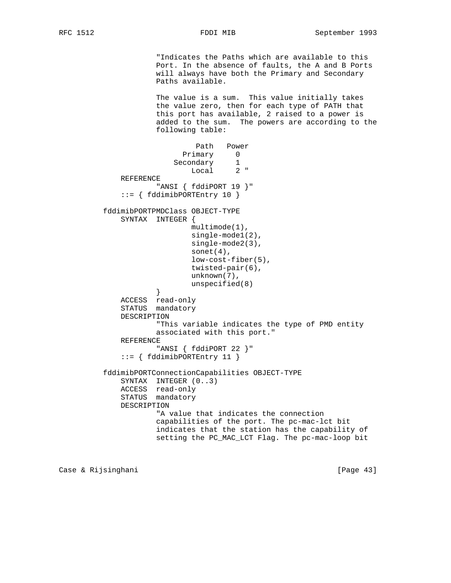"Indicates the Paths which are available to this Port. In the absence of faults, the A and B Ports will always have both the Primary and Secondary Paths available.

 The value is a sum. This value initially takes the value zero, then for each type of PATH that this port has available, 2 raised to a power is added to the sum. The powers are according to the following table:

```
 Path Power
                           Primary 0
 Secondary 1
 Local 2 "
             REFERENCE
                     "ANSI { fddiPORT 19 }"
              ::= { fddimibPORTEntry 10 }
          fddimibPORTPMDClass OBJECT-TYPE
             SYNTAX INTEGER {
                            multimode(1),
                            single-mode1(2),
                            single-mode2(3),
                             sonet(4),
                             low-cost-fiber(5),
                             twisted-pair(6),
                             unknown(7),
                            unspecified(8)
 }
             ACCESS read-only
             STATUS mandatory
             DESCRIPTION
                     "This variable indicates the type of PMD entity
                     associated with this port."
             REFERENCE
                     "ANSI { fddiPORT 22 }"
              ::= { fddimibPORTEntry 11 }
          fddimibPORTConnectionCapabilities OBJECT-TYPE
             SYNTAX INTEGER (0..3)
             ACCESS read-only
             STATUS mandatory
             DESCRIPTION
                     "A value that indicates the connection
                     capabilities of the port. The pc-mac-lct bit
                     indicates that the station has the capability of
                     setting the PC_MAC_LCT Flag. The pc-mac-loop bit
```
Case & Rijsinghani **berkena di kabupaten Sepanjara (Page 43**)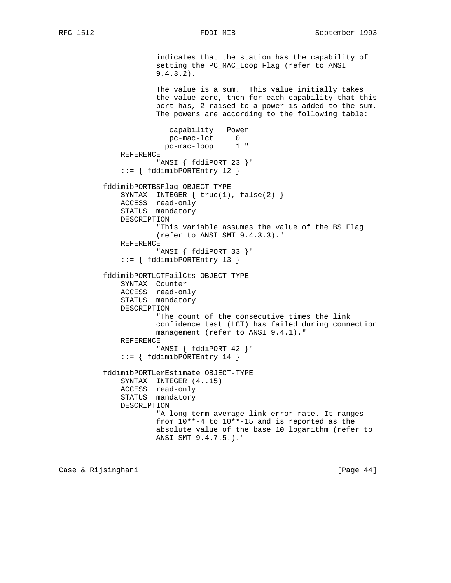indicates that the station has the capability of setting the PC\_MAC\_Loop Flag (refer to ANSI 9.4.3.2). The value is a sum. This value initially takes the value zero, then for each capability that this port has, 2 raised to a power is added to the sum. The powers are according to the following table: capability Power pc-mac-lct 0 pc-mac-loop 1 " REFERENCE "ANSI { fddiPORT 23 }" ::= { fddimibPORTEntry 12 } fddimibPORTBSFlag OBJECT-TYPE SYNTAX INTEGER  $\{ true(1), false(2) \}$  ACCESS read-only STATUS mandatory DESCRIPTION "This variable assumes the value of the BS\_Flag (refer to ANSI SMT 9.4.3.3)." REFERENCE "ANSI { fddiPORT 33 }" ::= { fddimibPORTEntry 13 } fddimibPORTLCTFailCts OBJECT-TYPE SYNTAX Counter ACCESS read-only STATUS mandatory DESCRIPTION "The count of the consecutive times the link confidence test (LCT) has failed during connection management (refer to ANSI 9.4.1)." REFERENCE "ANSI { fddiPORT 42 }" ::= { fddimibPORTEntry 14 } fddimibPORTLerEstimate OBJECT-TYPE SYNTAX INTEGER (4..15) ACCESS read-only STATUS mandatory DESCRIPTION "A long term average link error rate. It ranges from 10\*\*-4 to 10\*\*-15 and is reported as the absolute value of the base 10 logarithm (refer to ANSI SMT 9.4.7.5.)."

Case & Rijsinghani **berkena di kabupaten Separa Page 44**]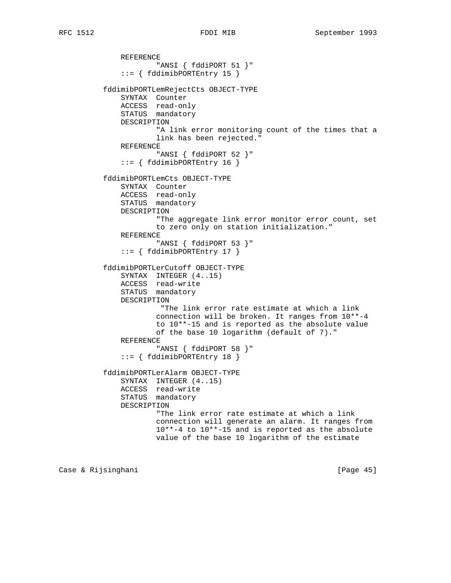```
 REFERENCE
                      "ANSI { fddiPORT 51 }"
               ::= { fddimibPORTEntry 15 }
          fddimibPORTLemRejectCts OBJECT-TYPE
              SYNTAX Counter
              ACCESS read-only
              STATUS mandatory
              DESCRIPTION
                       "A link error monitoring count of the times that a
                      link has been rejected."
              REFERENCE
                       "ANSI { fddiPORT 52 }"
              ::= { fddimibPORTEntry 16 }
          fddimibPORTLemCts OBJECT-TYPE
              SYNTAX Counter
              ACCESS read-only
              STATUS mandatory
              DESCRIPTION
                       "The aggregate link error monitor error count, set
                      to zero only on station initialization."
              REFERENCE
                       "ANSI { fddiPORT 53 }"
               ::= { fddimibPORTEntry 17 }
          fddimibPORTLerCutoff OBJECT-TYPE
              SYNTAX INTEGER (4..15)
 ACCESS read-write
STATUS mandatory
              DESCRIPTION
                       "The link error rate estimate at which a link
                      connection will be broken. It ranges from 10**-4
                      to 10**-15 and is reported as the absolute value
                      of the base 10 logarithm (default of 7)."
              REFERENCE
                       "ANSI { fddiPORT 58 }"
              ::= { fddimibPORTEntry 18 }
           fddimibPORTLerAlarm OBJECT-TYPE
              SYNTAX INTEGER (4..15)
              ACCESS read-write
              STATUS mandatory
              DESCRIPTION
                       "The link error rate estimate at which a link
                       connection will generate an alarm. It ranges from
                       10**-4 to 10**-15 and is reported as the absolute
                       value of the base 10 logarithm of the estimate
```
Case & Rijsinghani **berkena di kabupaten Sepanjara (Page 45**)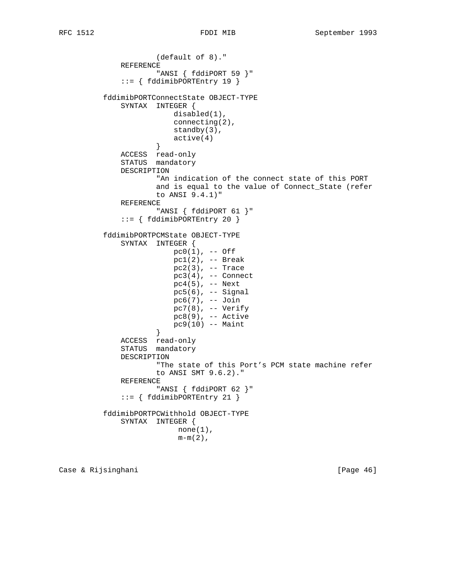(default of 8)." REFERENCE "ANSI { fddiPORT 59 }" ::= { fddimibPORTEntry 19 } fddimibPORTConnectState OBJECT-TYPE SYNTAX INTEGER { disabled(1), connecting(2), standby(3),  $active(4)$  } ACCESS read-only STATUS mandatory DESCRIPTION "An indication of the connect state of this PORT and is equal to the value of Connect\_State (refer to ANSI 9.4.1)" REFERENCE "ANSI { fddiPORT 61 }" ::= { fddimibPORTEntry 20 } fddimibPORTPCMState OBJECT-TYPE SYNTAX INTEGER {  $pc0(1)$ ,  $--$  Off pc1(2), -- Break pc2(3), -- Trace  $pc3(4)$ , -- Connect pc4(5), -- Next  $pc5(6)$ ,  $--$  Signal pc6(7), -- Join pc7(8), -- Verify  $pc8(9)$ ,  $-$  Active  $pc9(10)$  -- Maint } } ACCESS read-only STATUS mandatory DESCRIPTION "The state of this Port's PCM state machine refer to ANSI SMT 9.6.2)." REFERENCE "ANSI { fddiPORT 62 }" ::= { fddimibPORTEntry 21 } fddimibPORTPCWithhold OBJECT-TYPE SYNTAX INTEGER {  $none(1)$ ,  $m-m(2)$ ,

Case & Rijsinghani **berkena di kabupaten di Kasa** (Page 46)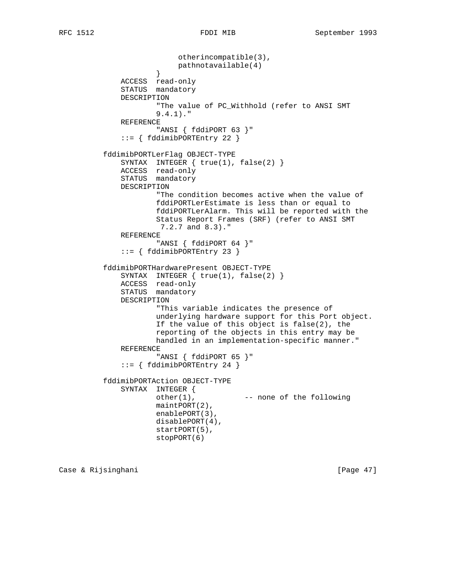```
 otherincompatible(3),
                    pathnotavailable(4)<br>}
 }
             ACCESS read-only
             STATUS mandatory
             DESCRIPTION
                     "The value of PC_Withhold (refer to ANSI SMT
                     9.4.1)."
             REFERENCE
                     "ANSI { fddiPORT 63 }"
             ::= { fddimibPORTEntry 22 }
          fddimibPORTLerFlag OBJECT-TYPE
 SYNTAX INTEGER { true(1), false(2) }
 ACCESS read-only
STATUS mandatory
             DESCRIPTION
                     "The condition becomes active when the value of
                     fddiPORTLerEstimate is less than or equal to
                     fddiPORTLerAlarm. This will be reported with the
                     Status Report Frames (SRF) (refer to ANSI SMT
                     7.2.7 and 8.3)."
             REFERENCE
                     "ANSI { fddiPORT 64 }"
             ::= { fddimibPORTEntry 23 }
          fddimibPORTHardwarePresent OBJECT-TYPE
            SYNTAX INTEGER { true(1), false(2) }
 ACCESS read-only
STATUS mandatory
             DESCRIPTION
                     "This variable indicates the presence of
                     underlying hardware support for this Port object.
                     If the value of this object is false(2), the
```
 handled in an implementation-specific manner." REFERENCE

```
 "ANSI { fddiPORT 65 }"
 ::= { fddimibPORTEntry 24 }
```

```
 fddimibPORTAction OBJECT-TYPE
    SYNTAX INTEGER {
           other(1), --- none of the following
            maintPORT(2),
            enablePORT(3),
            disablePORT(4),
            startPORT(5),
            stopPORT(6)
```
reporting of the objects in this entry may be

Case & Rijsinghani **berkena di kabupaten Separa Page 47**]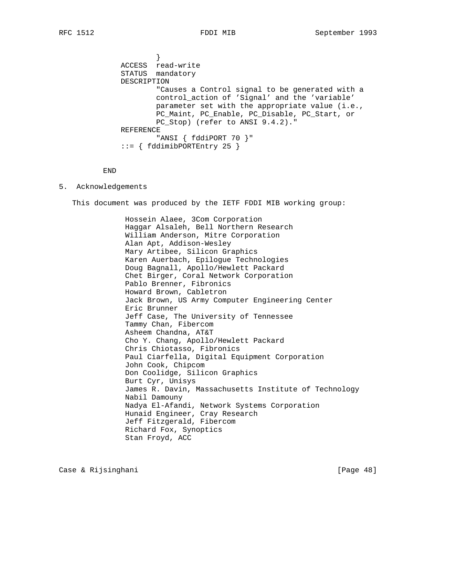} ACCESS read-write STATUS mandatory DESCRIPTION "Causes a Control signal to be generated with a control\_action of 'Signal' and the 'variable' parameter set with the appropriate value (i.e., PC\_Maint, PC\_Enable, PC\_Disable, PC\_Start, or PC\_Stop) (refer to ANSI 9.4.2)." REFERENCE "ANSI { fddiPORT 70 }" ::= { fddimibPORTEntry 25 }

```
 END
```
### 5. Acknowledgements

This document was produced by the IETF FDDI MIB working group:

 Hossein Alaee, 3Com Corporation Haggar Alsaleh, Bell Northern Research William Anderson, Mitre Corporation Alan Apt, Addison-Wesley Mary Artibee, Silicon Graphics Karen Auerbach, Epilogue Technologies Doug Bagnall, Apollo/Hewlett Packard Chet Birger, Coral Network Corporation Pablo Brenner, Fibronics Howard Brown, Cabletron Jack Brown, US Army Computer Engineering Center Eric Brunner Jeff Case, The University of Tennessee Tammy Chan, Fibercom Asheem Chandna, AT&T Cho Y. Chang, Apollo/Hewlett Packard Chris Chiotasso, Fibronics Paul Ciarfella, Digital Equipment Corporation John Cook, Chipcom Don Coolidge, Silicon Graphics Burt Cyr, Unisys James R. Davin, Massachusetts Institute of Technology Nabil Damouny Nadya El-Afandi, Network Systems Corporation Hunaid Engineer, Cray Research Jeff Fitzgerald, Fibercom Richard Fox, Synoptics Stan Froyd, ACC

Case & Rijsinghani **berkena di kabupaten Sepanjara (Page 48**)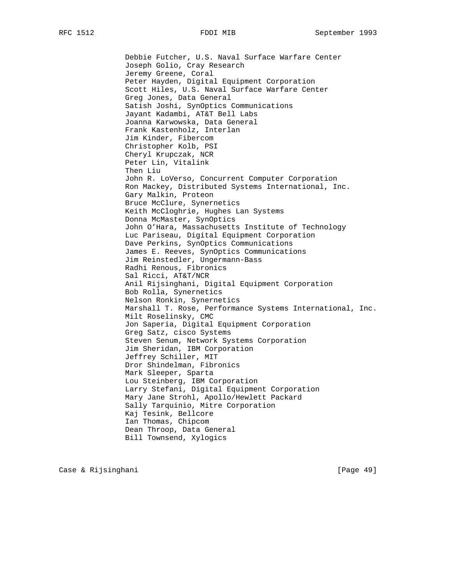Debbie Futcher, U.S. Naval Surface Warfare Center Joseph Golio, Cray Research Jeremy Greene, Coral Peter Hayden, Digital Equipment Corporation Scott Hiles, U.S. Naval Surface Warfare Center Greg Jones, Data General Satish Joshi, SynOptics Communications Jayant Kadambi, AT&T Bell Labs Joanna Karwowska, Data General Frank Kastenholz, Interlan Jim Kinder, Fibercom Christopher Kolb, PSI Cheryl Krupczak, NCR Peter Lin, Vitalink Then Liu John R. LoVerso, Concurrent Computer Corporation Ron Mackey, Distributed Systems International, Inc. Gary Malkin, Proteon Bruce McClure, Synernetics Keith McCloghrie, Hughes Lan Systems Donna McMaster, SynOptics John O'Hara, Massachusetts Institute of Technology Luc Pariseau, Digital Equipment Corporation Dave Perkins, SynOptics Communications James E. Reeves, SynOptics Communications Jim Reinstedler, Ungermann-Bass Radhi Renous, Fibronics Sal Ricci, AT&T/NCR Anil Rijsinghani, Digital Equipment Corporation Bob Rolla, Synernetics Nelson Ronkin, Synernetics Marshall T. Rose, Performance Systems International, Inc. Milt Roselinsky, CMC Jon Saperia, Digital Equipment Corporation Greg Satz, cisco Systems Steven Senum, Network Systems Corporation Jim Sheridan, IBM Corporation Jeffrey Schiller, MIT Dror Shindelman, Fibronics Mark Sleeper, Sparta Lou Steinberg, IBM Corporation Larry Stefani, Digital Equipment Corporation Mary Jane Strohl, Apollo/Hewlett Packard Sally Tarquinio, Mitre Corporation Kaj Tesink, Bellcore Ian Thomas, Chipcom Dean Throop, Data General Bill Townsend, Xylogics

Case & Rijsinghani [Page 49]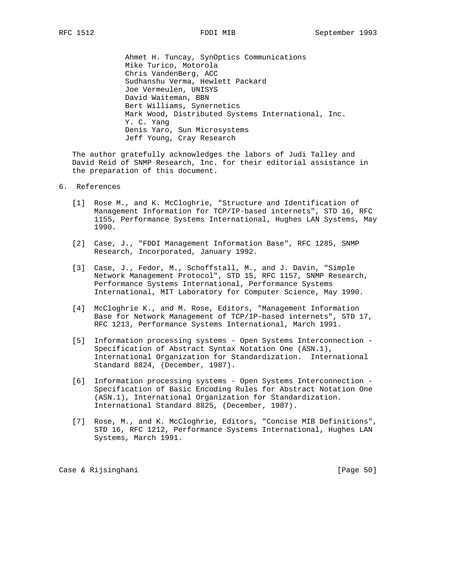Ahmet H. Tuncay, SynOptics Communications Mike Turico, Motorola Chris VandenBerg, ACC Sudhanshu Verma, Hewlett Packard Joe Vermeulen, UNISYS David Waiteman, BBN Bert Williams, Synernetics Mark Wood, Distributed Systems International, Inc. Y. C. Yang Denis Yaro, Sun Microsystems Jeff Young, Cray Research

 The author gratefully acknowledges the labors of Judi Talley and David Reid of SNMP Research, Inc. for their editorial assistance in the preparation of this document.

# 6. References

- [1] Rose M., and K. McCloghrie, "Structure and Identification of Management Information for TCP/IP-based internets", STD 16, RFC 1155, Performance Systems International, Hughes LAN Systems, May 1990.
- [2] Case, J., "FDDI Management Information Base", RFC 1285, SNMP Research, Incorporated, January 1992.
- [3] Case, J., Fedor, M., Schoffstall, M., and J. Davin, "Simple Network Management Protocol", STD 15, RFC 1157, SNMP Research, Performance Systems International, Performance Systems International, MIT Laboratory for Computer Science, May 1990.
- [4] McCloghrie K., and M. Rose, Editors, "Management Information Base for Network Management of TCP/IP-based internets", STD 17, RFC 1213, Performance Systems International, March 1991.
- [5] Information processing systems Open Systems Interconnection Specification of Abstract Syntax Notation One (ASN.1), International Organization for Standardization. International Standard 8824, (December, 1987).
- [6] Information processing systems Open Systems Interconnection Specification of Basic Encoding Rules for Abstract Notation One (ASN.1), International Organization for Standardization. International Standard 8825, (December, 1987).
- [7] Rose, M., and K. McCloghrie, Editors, "Concise MIB Definitions", STD 16, RFC 1212, Performance Systems International, Hughes LAN Systems, March 1991.

Case & Rijsinghani [Page 50]